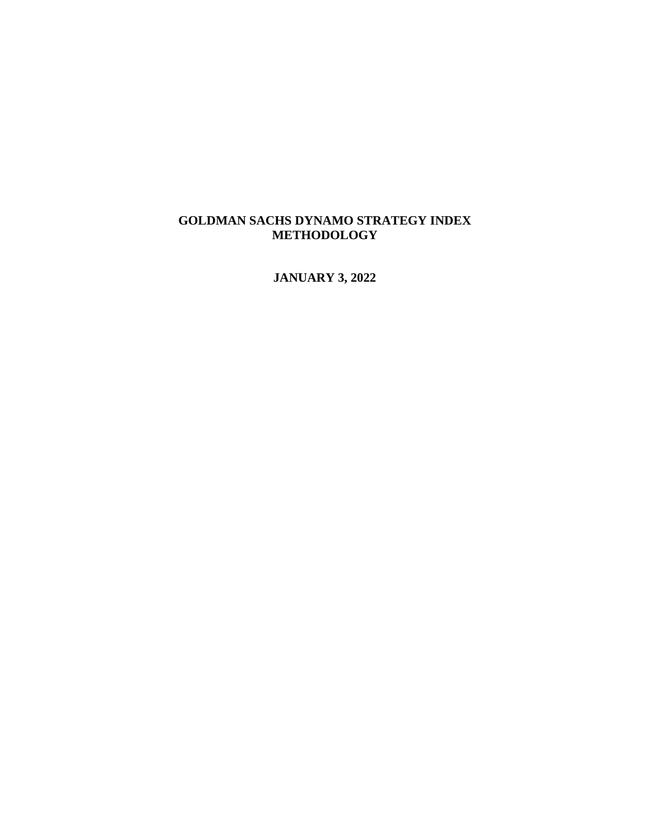#### **GOLDMAN SACHS DYNAMO STRATEGY INDEX METHODOLOGY**

**JANUARY 3, 2022**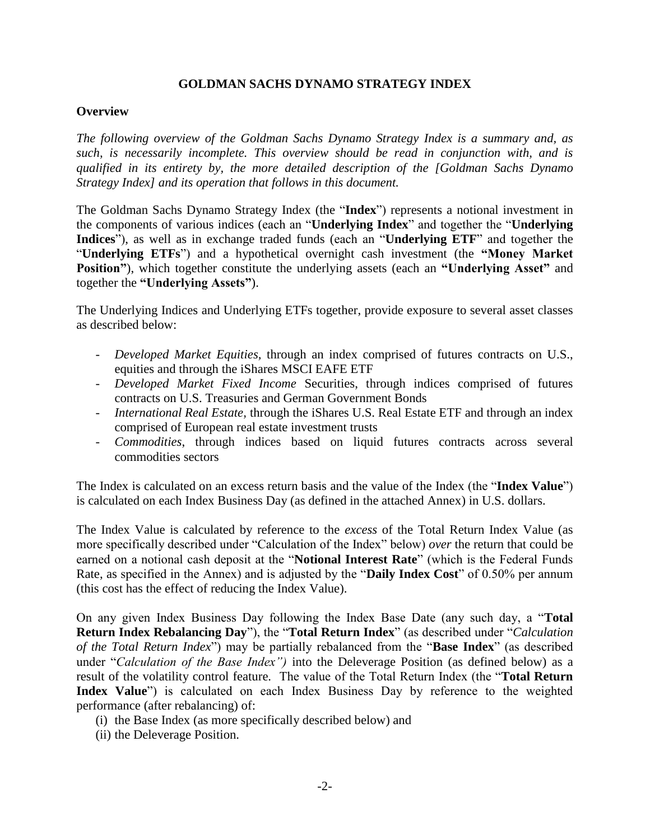#### **GOLDMAN SACHS DYNAMO STRATEGY INDEX**

#### **Overview**

*The following overview of the Goldman Sachs Dynamo Strategy Index is a summary and, as such, is necessarily incomplete. This overview should be read in conjunction with, and is qualified in its entirety by, the more detailed description of the [Goldman Sachs Dynamo Strategy Index] and its operation that follows in this document.*

The Goldman Sachs Dynamo Strategy Index (the "**Index**") represents a notional investment in the components of various indices (each an "**Underlying Index**" and together the "**Underlying Indices**"), as well as in exchange traded funds (each an "**Underlying ETF**" and together the "**Underlying ETFs**") and a hypothetical overnight cash investment (the **"Money Market Position"**), which together constitute the underlying assets (each an **"Underlying Asset"** and together the **"Underlying Assets"**).

The Underlying Indices and Underlying ETFs together, provide exposure to several asset classes as described below:

- *Developed Market Equities,* through an index comprised of futures contracts on U.S., equities and through the iShares MSCI EAFE ETF
- *Developed Market Fixed Income* Securities, through indices comprised of futures contracts on U.S. Treasuries and German Government Bonds
- *International Real Estate,* through the iShares U.S. Real Estate ETF and through an index comprised of European real estate investment trusts
- *Commodities*, through indices based on liquid futures contracts across several commodities sectors

The Index is calculated on an excess return basis and the value of the Index (the "**Index Value**") is calculated on each Index Business Day (as defined in the attached Annex) in U.S. dollars.

The Index Value is calculated by reference to the *excess* of the Total Return Index Value (as more specifically described under "Calculation of the Index" below) *over* the return that could be earned on a notional cash deposit at the "**Notional Interest Rate**" (which is the Federal Funds Rate, as specified in the Annex) and is adjusted by the "**Daily Index Cost**" of 0.50% per annum (this cost has the effect of reducing the Index Value).

On any given Index Business Day following the Index Base Date (any such day, a "**Total Return Index Rebalancing Day**"), the "**Total Return Index**" (as described under "*Calculation of the Total Return Index*") may be partially rebalanced from the "**Base Index**" (as described under "*Calculation of the Base Index")* into the Deleverage Position (as defined below) as a result of the volatility control feature. The value of the Total Return Index (the "**Total Return**  Index Value<sup>"</sup>) is calculated on each Index Business Day by reference to the weighted performance (after rebalancing) of:

- (i) the Base Index (as more specifically described below) and
- (ii) the Deleverage Position.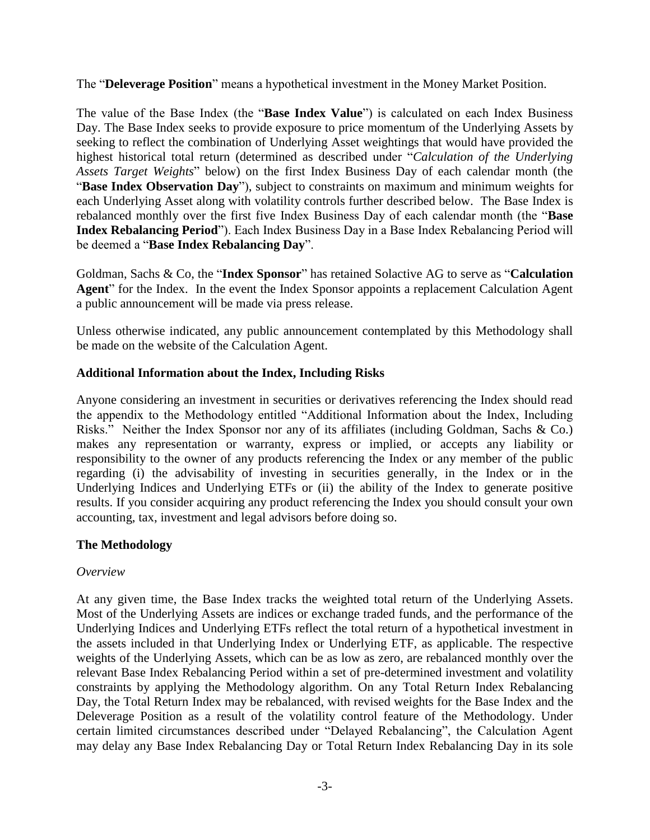The "**Deleverage Position**" means a hypothetical investment in the Money Market Position.

The value of the Base Index (the "**Base Index Value**") is calculated on each Index Business Day. The Base Index seeks to provide exposure to price momentum of the Underlying Assets by seeking to reflect the combination of Underlying Asset weightings that would have provided the highest historical total return (determined as described under "*Calculation of the Underlying Assets Target Weights*" below) on the first Index Business Day of each calendar month (the "**Base Index Observation Day**"), subject to constraints on maximum and minimum weights for each Underlying Asset along with volatility controls further described below. The Base Index is rebalanced monthly over the first five Index Business Day of each calendar month (the "**Base Index Rebalancing Period**"). Each Index Business Day in a Base Index Rebalancing Period will be deemed a "**Base Index Rebalancing Day**".

Goldman, Sachs & Co, the "**Index Sponsor**" has retained Solactive AG to serve as "**Calculation Agent**" for the Index. In the event the Index Sponsor appoints a replacement Calculation Agent a public announcement will be made via press release.

Unless otherwise indicated, any public announcement contemplated by this Methodology shall be made on the website of the Calculation Agent.

### **Additional Information about the Index, Including Risks**

Anyone considering an investment in securities or derivatives referencing the Index should read the appendix to the Methodology entitled "Additional Information about the Index, Including Risks." Neither the Index Sponsor nor any of its affiliates (including Goldman, Sachs & Co.) makes any representation or warranty, express or implied, or accepts any liability or responsibility to the owner of any products referencing the Index or any member of the public regarding (i) the advisability of investing in securities generally, in the Index or in the Underlying Indices and Underlying ETFs or (ii) the ability of the Index to generate positive results. If you consider acquiring any product referencing the Index you should consult your own accounting, tax, investment and legal advisors before doing so.

### **The Methodology**

#### *Overview*

At any given time, the Base Index tracks the weighted total return of the Underlying Assets. Most of the Underlying Assets are indices or exchange traded funds, and the performance of the Underlying Indices and Underlying ETFs reflect the total return of a hypothetical investment in the assets included in that Underlying Index or Underlying ETF, as applicable. The respective weights of the Underlying Assets, which can be as low as zero, are rebalanced monthly over the relevant Base Index Rebalancing Period within a set of pre-determined investment and volatility constraints by applying the Methodology algorithm. On any Total Return Index Rebalancing Day, the Total Return Index may be rebalanced, with revised weights for the Base Index and the Deleverage Position as a result of the volatility control feature of the Methodology. Under certain limited circumstances described under "Delayed Rebalancing", the Calculation Agent may delay any Base Index Rebalancing Day or Total Return Index Rebalancing Day in its sole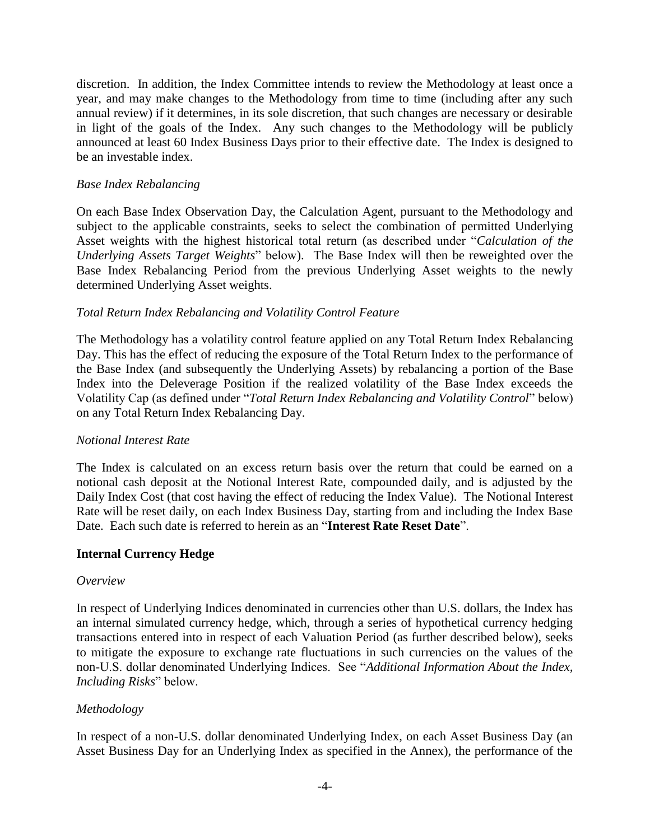discretion. In addition, the Index Committee intends to review the Methodology at least once a year, and may make changes to the Methodology from time to time (including after any such annual review) if it determines, in its sole discretion, that such changes are necessary or desirable in light of the goals of the Index. Any such changes to the Methodology will be publicly announced at least 60 Index Business Days prior to their effective date. The Index is designed to be an investable index.

#### *Base Index Rebalancing*

On each Base Index Observation Day, the Calculation Agent, pursuant to the Methodology and subject to the applicable constraints, seeks to select the combination of permitted Underlying Asset weights with the highest historical total return (as described under "*Calculation of the Underlying Assets Target Weights*" below). The Base Index will then be reweighted over the Base Index Rebalancing Period from the previous Underlying Asset weights to the newly determined Underlying Asset weights.

#### *Total Return Index Rebalancing and Volatility Control Feature*

The Methodology has a volatility control feature applied on any Total Return Index Rebalancing Day. This has the effect of reducing the exposure of the Total Return Index to the performance of the Base Index (and subsequently the Underlying Assets) by rebalancing a portion of the Base Index into the Deleverage Position if the realized volatility of the Base Index exceeds the Volatility Cap (as defined under "*Total Return Index Rebalancing and Volatility Control*" below) on any Total Return Index Rebalancing Day.

#### *Notional Interest Rate*

The Index is calculated on an excess return basis over the return that could be earned on a notional cash deposit at the Notional Interest Rate, compounded daily, and is adjusted by the Daily Index Cost (that cost having the effect of reducing the Index Value). The Notional Interest Rate will be reset daily, on each Index Business Day, starting from and including the Index Base Date. Each such date is referred to herein as an "**Interest Rate Reset Date**".

#### **Internal Currency Hedge**

#### *Overview*

In respect of Underlying Indices denominated in currencies other than U.S. dollars, the Index has an internal simulated currency hedge, which, through a series of hypothetical currency hedging transactions entered into in respect of each Valuation Period (as further described below), seeks to mitigate the exposure to exchange rate fluctuations in such currencies on the values of the non-U.S. dollar denominated Underlying Indices. See "*Additional Information About the Index, Including Risks*" below.

### *Methodology*

In respect of a non-U.S. dollar denominated Underlying Index, on each Asset Business Day (an Asset Business Day for an Underlying Index as specified in the Annex), the performance of the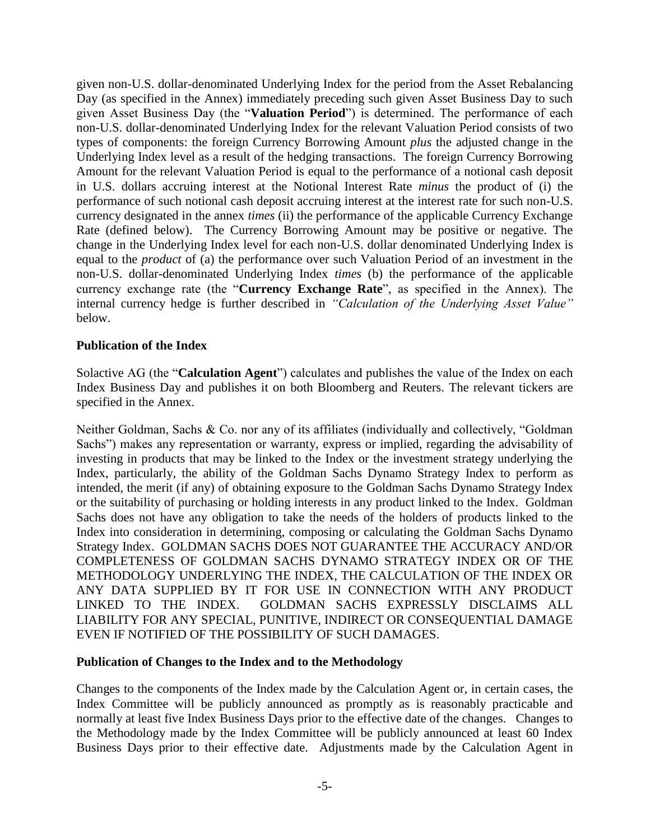given non-U.S. dollar-denominated Underlying Index for the period from the Asset Rebalancing Day (as specified in the Annex) immediately preceding such given Asset Business Day to such given Asset Business Day (the "**Valuation Period**") is determined. The performance of each non-U.S. dollar-denominated Underlying Index for the relevant Valuation Period consists of two types of components: the foreign Currency Borrowing Amount *plus* the adjusted change in the Underlying Index level as a result of the hedging transactions. The foreign Currency Borrowing Amount for the relevant Valuation Period is equal to the performance of a notional cash deposit in U.S. dollars accruing interest at the Notional Interest Rate *minus* the product of (i) the performance of such notional cash deposit accruing interest at the interest rate for such non-U.S. currency designated in the annex *times* (ii) the performance of the applicable Currency Exchange Rate (defined below). The Currency Borrowing Amount may be positive or negative. The change in the Underlying Index level for each non-U.S. dollar denominated Underlying Index is equal to the *product* of (a) the performance over such Valuation Period of an investment in the non-U.S. dollar-denominated Underlying Index *times* (b) the performance of the applicable currency exchange rate (the "**Currency Exchange Rate**", as specified in the Annex). The internal currency hedge is further described in *"Calculation of the Underlying Asset Value"* below.

#### **Publication of the Index**

Solactive AG (the "**Calculation Agent**") calculates and publishes the value of the Index on each Index Business Day and publishes it on both Bloomberg and Reuters. The relevant tickers are specified in the Annex.

Neither Goldman, Sachs & Co. nor any of its affiliates (individually and collectively, "Goldman Sachs") makes any representation or warranty, express or implied, regarding the advisability of investing in products that may be linked to the Index or the investment strategy underlying the Index, particularly, the ability of the Goldman Sachs Dynamo Strategy Index to perform as intended, the merit (if any) of obtaining exposure to the Goldman Sachs Dynamo Strategy Index or the suitability of purchasing or holding interests in any product linked to the Index. Goldman Sachs does not have any obligation to take the needs of the holders of products linked to the Index into consideration in determining, composing or calculating the Goldman Sachs Dynamo Strategy Index. GOLDMAN SACHS DOES NOT GUARANTEE THE ACCURACY AND/OR COMPLETENESS OF GOLDMAN SACHS DYNAMO STRATEGY INDEX OR OF THE METHODOLOGY UNDERLYING THE INDEX, THE CALCULATION OF THE INDEX OR ANY DATA SUPPLIED BY IT FOR USE IN CONNECTION WITH ANY PRODUCT LINKED TO THE INDEX. GOLDMAN SACHS EXPRESSLY DISCLAIMS ALL LIABILITY FOR ANY SPECIAL, PUNITIVE, INDIRECT OR CONSEQUENTIAL DAMAGE EVEN IF NOTIFIED OF THE POSSIBILITY OF SUCH DAMAGES.

### **Publication of Changes to the Index and to the Methodology**

Changes to the components of the Index made by the Calculation Agent or, in certain cases, the Index Committee will be publicly announced as promptly as is reasonably practicable and normally at least five Index Business Days prior to the effective date of the changes. Changes to the Methodology made by the Index Committee will be publicly announced at least 60 Index Business Days prior to their effective date. Adjustments made by the Calculation Agent in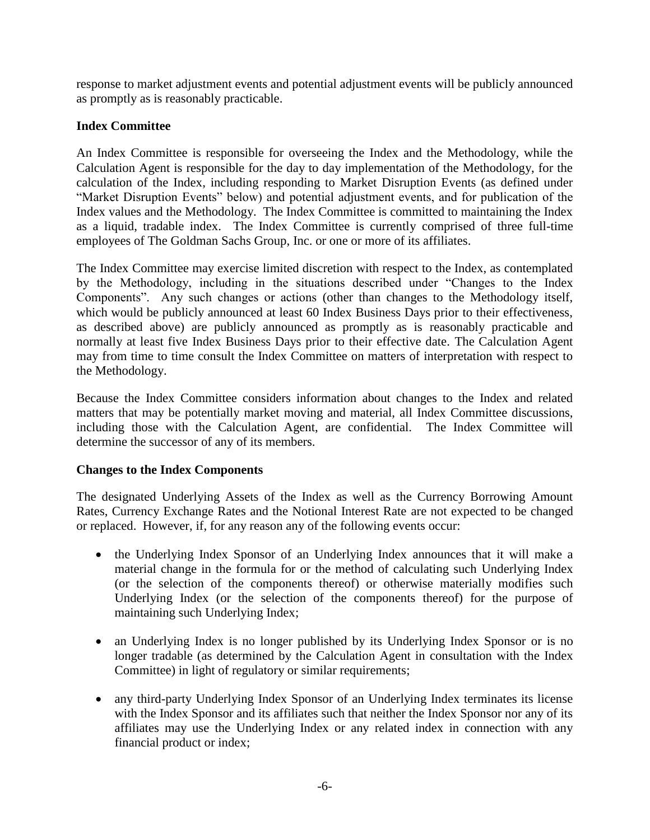response to market adjustment events and potential adjustment events will be publicly announced as promptly as is reasonably practicable.

### **Index Committee**

An Index Committee is responsible for overseeing the Index and the Methodology, while the Calculation Agent is responsible for the day to day implementation of the Methodology, for the calculation of the Index, including responding to Market Disruption Events (as defined under "Market Disruption Events" below) and potential adjustment events, and for publication of the Index values and the Methodology. The Index Committee is committed to maintaining the Index as a liquid, tradable index. The Index Committee is currently comprised of three full-time employees of The Goldman Sachs Group, Inc. or one or more of its affiliates.

The Index Committee may exercise limited discretion with respect to the Index, as contemplated by the Methodology, including in the situations described under "Changes to the Index Components". Any such changes or actions (other than changes to the Methodology itself, which would be publicly announced at least 60 Index Business Days prior to their effectiveness, as described above) are publicly announced as promptly as is reasonably practicable and normally at least five Index Business Days prior to their effective date. The Calculation Agent may from time to time consult the Index Committee on matters of interpretation with respect to the Methodology.

Because the Index Committee considers information about changes to the Index and related matters that may be potentially market moving and material, all Index Committee discussions, including those with the Calculation Agent, are confidential. The Index Committee will determine the successor of any of its members.

### **Changes to the Index Components**

The designated Underlying Assets of the Index as well as the Currency Borrowing Amount Rates, Currency Exchange Rates and the Notional Interest Rate are not expected to be changed or replaced. However, if, for any reason any of the following events occur:

- the Underlying Index Sponsor of an Underlying Index announces that it will make a material change in the formula for or the method of calculating such Underlying Index (or the selection of the components thereof) or otherwise materially modifies such Underlying Index (or the selection of the components thereof) for the purpose of maintaining such Underlying Index;
- an Underlying Index is no longer published by its Underlying Index Sponsor or is no longer tradable (as determined by the Calculation Agent in consultation with the Index Committee) in light of regulatory or similar requirements;
- any third-party Underlying Index Sponsor of an Underlying Index terminates its license with the Index Sponsor and its affiliates such that neither the Index Sponsor nor any of its affiliates may use the Underlying Index or any related index in connection with any financial product or index;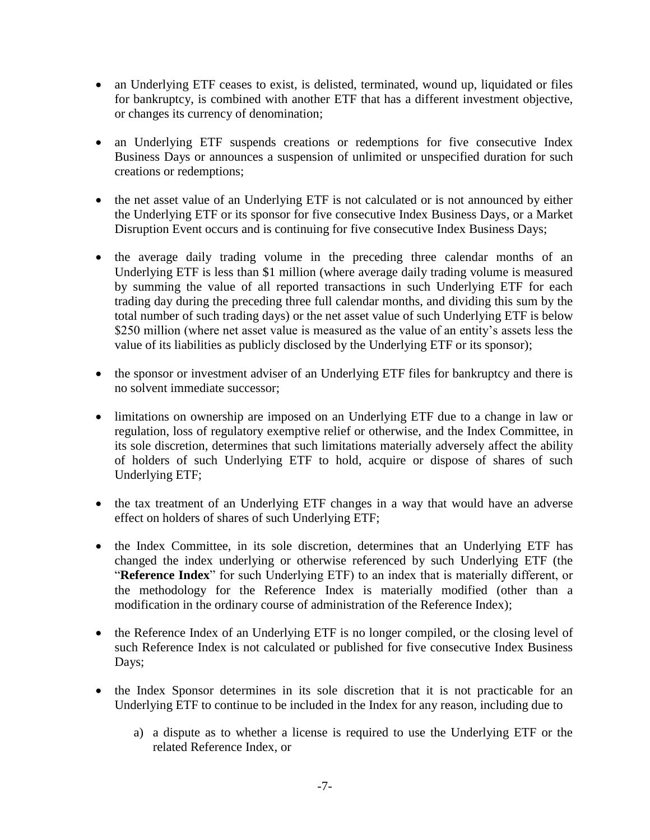- an Underlying ETF ceases to exist, is delisted, terminated, wound up, liquidated or files for bankruptcy, is combined with another ETF that has a different investment objective, or changes its currency of denomination;
- an Underlying ETF suspends creations or redemptions for five consecutive Index Business Days or announces a suspension of unlimited or unspecified duration for such creations or redemptions;
- the net asset value of an Underlying ETF is not calculated or is not announced by either the Underlying ETF or its sponsor for five consecutive Index Business Days, or a Market Disruption Event occurs and is continuing for five consecutive Index Business Days;
- the average daily trading volume in the preceding three calendar months of an Underlying ETF is less than \$1 million (where average daily trading volume is measured by summing the value of all reported transactions in such Underlying ETF for each trading day during the preceding three full calendar months, and dividing this sum by the total number of such trading days) or the net asset value of such Underlying ETF is below \$250 million (where net asset value is measured as the value of an entity's assets less the value of its liabilities as publicly disclosed by the Underlying ETF or its sponsor);
- the sponsor or investment adviser of an Underlying ETF files for bankruptcy and there is no solvent immediate successor;
- limitations on ownership are imposed on an Underlying ETF due to a change in law or regulation, loss of regulatory exemptive relief or otherwise, and the Index Committee, in its sole discretion, determines that such limitations materially adversely affect the ability of holders of such Underlying ETF to hold, acquire or dispose of shares of such Underlying ETF;
- the tax treatment of an Underlying ETF changes in a way that would have an adverse effect on holders of shares of such Underlying ETF;
- the Index Committee, in its sole discretion, determines that an Underlying ETF has changed the index underlying or otherwise referenced by such Underlying ETF (the "**Reference Index**" for such Underlying ETF) to an index that is materially different, or the methodology for the Reference Index is materially modified (other than a modification in the ordinary course of administration of the Reference Index);
- the Reference Index of an Underlying ETF is no longer compiled, or the closing level of such Reference Index is not calculated or published for five consecutive Index Business Days;
- the Index Sponsor determines in its sole discretion that it is not practicable for an Underlying ETF to continue to be included in the Index for any reason, including due to
	- a) a dispute as to whether a license is required to use the Underlying ETF or the related Reference Index, or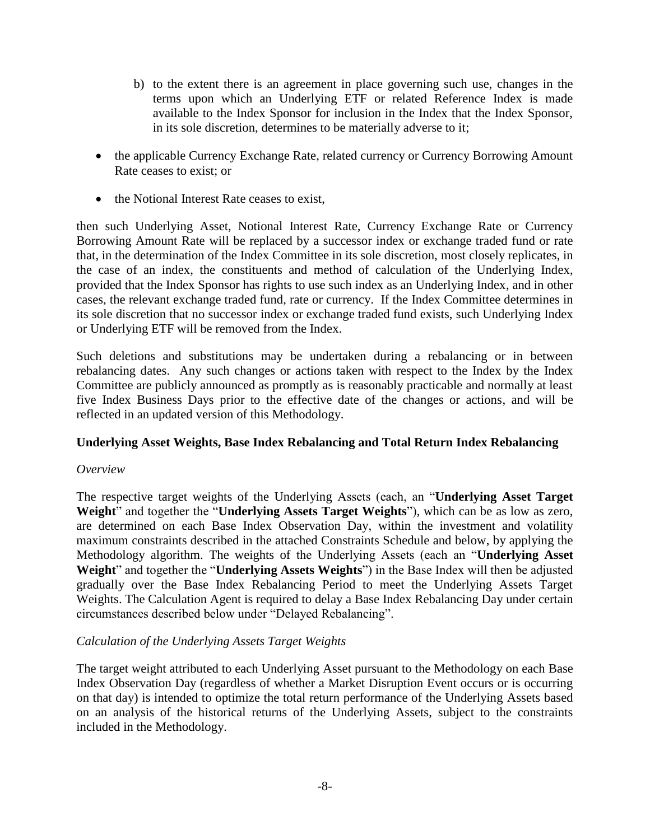- b) to the extent there is an agreement in place governing such use, changes in the terms upon which an Underlying ETF or related Reference Index is made available to the Index Sponsor for inclusion in the Index that the Index Sponsor, in its sole discretion, determines to be materially adverse to it;
- the applicable Currency Exchange Rate, related currency or Currency Borrowing Amount Rate ceases to exist; or
- the Notional Interest Rate ceases to exist,

then such Underlying Asset, Notional Interest Rate, Currency Exchange Rate or Currency Borrowing Amount Rate will be replaced by a successor index or exchange traded fund or rate that, in the determination of the Index Committee in its sole discretion, most closely replicates, in the case of an index, the constituents and method of calculation of the Underlying Index, provided that the Index Sponsor has rights to use such index as an Underlying Index, and in other cases, the relevant exchange traded fund, rate or currency. If the Index Committee determines in its sole discretion that no successor index or exchange traded fund exists, such Underlying Index or Underlying ETF will be removed from the Index.

Such deletions and substitutions may be undertaken during a rebalancing or in between rebalancing dates. Any such changes or actions taken with respect to the Index by the Index Committee are publicly announced as promptly as is reasonably practicable and normally at least five Index Business Days prior to the effective date of the changes or actions, and will be reflected in an updated version of this Methodology.

#### **Underlying Asset Weights, Base Index Rebalancing and Total Return Index Rebalancing**

#### *Overview*

The respective target weights of the Underlying Assets (each, an "**Underlying Asset Target Weight**" and together the "**Underlying Assets Target Weights**"), which can be as low as zero, are determined on each Base Index Observation Day, within the investment and volatility maximum constraints described in the attached Constraints Schedule and below, by applying the Methodology algorithm. The weights of the Underlying Assets (each an "**Underlying Asset Weight**" and together the "**Underlying Assets Weights**") in the Base Index will then be adjusted gradually over the Base Index Rebalancing Period to meet the Underlying Assets Target Weights. The Calculation Agent is required to delay a Base Index Rebalancing Day under certain circumstances described below under "Delayed Rebalancing".

#### *Calculation of the Underlying Assets Target Weights*

The target weight attributed to each Underlying Asset pursuant to the Methodology on each Base Index Observation Day (regardless of whether a Market Disruption Event occurs or is occurring on that day) is intended to optimize the total return performance of the Underlying Assets based on an analysis of the historical returns of the Underlying Assets, subject to the constraints included in the Methodology.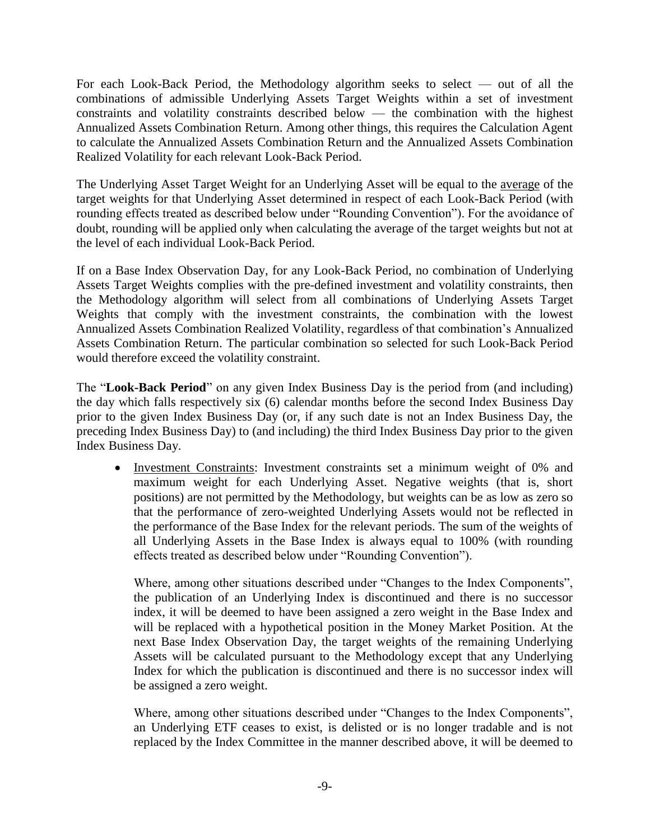For each Look-Back Period, the Methodology algorithm seeks to select — out of all the combinations of admissible Underlying Assets Target Weights within a set of investment constraints and volatility constraints described below — the combination with the highest Annualized Assets Combination Return. Among other things, this requires the Calculation Agent to calculate the Annualized Assets Combination Return and the Annualized Assets Combination Realized Volatility for each relevant Look-Back Period.

The Underlying Asset Target Weight for an Underlying Asset will be equal to the average of the target weights for that Underlying Asset determined in respect of each Look-Back Period (with rounding effects treated as described below under "Rounding Convention"). For the avoidance of doubt, rounding will be applied only when calculating the average of the target weights but not at the level of each individual Look-Back Period.

If on a Base Index Observation Day, for any Look-Back Period, no combination of Underlying Assets Target Weights complies with the pre-defined investment and volatility constraints, then the Methodology algorithm will select from all combinations of Underlying Assets Target Weights that comply with the investment constraints, the combination with the lowest Annualized Assets Combination Realized Volatility, regardless of that combination's Annualized Assets Combination Return. The particular combination so selected for such Look-Back Period would therefore exceed the volatility constraint.

The "**Look-Back Period**" on any given Index Business Day is the period from (and including) the day which falls respectively six (6) calendar months before the second Index Business Day prior to the given Index Business Day (or, if any such date is not an Index Business Day, the preceding Index Business Day) to (and including) the third Index Business Day prior to the given Index Business Day.

• Investment Constraints: Investment constraints set a minimum weight of 0% and maximum weight for each Underlying Asset. Negative weights (that is, short positions) are not permitted by the Methodology, but weights can be as low as zero so that the performance of zero-weighted Underlying Assets would not be reflected in the performance of the Base Index for the relevant periods. The sum of the weights of all Underlying Assets in the Base Index is always equal to 100% (with rounding effects treated as described below under "Rounding Convention").

Where, among other situations described under "Changes to the Index Components", the publication of an Underlying Index is discontinued and there is no successor index, it will be deemed to have been assigned a zero weight in the Base Index and will be replaced with a hypothetical position in the Money Market Position. At the next Base Index Observation Day, the target weights of the remaining Underlying Assets will be calculated pursuant to the Methodology except that any Underlying Index for which the publication is discontinued and there is no successor index will be assigned a zero weight.

Where, among other situations described under "Changes to the Index Components", an Underlying ETF ceases to exist, is delisted or is no longer tradable and is not replaced by the Index Committee in the manner described above, it will be deemed to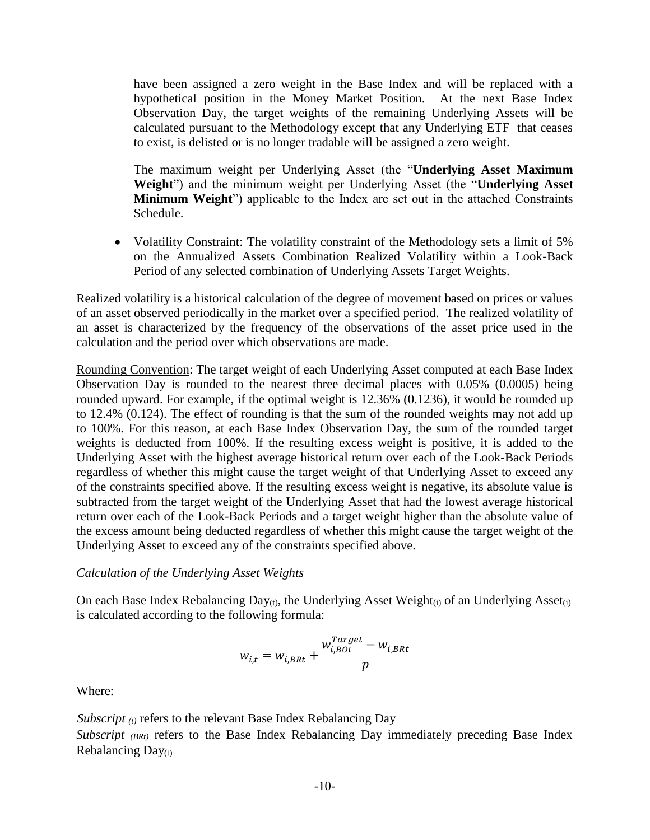have been assigned a zero weight in the Base Index and will be replaced with a hypothetical position in the Money Market Position. At the next Base Index Observation Day, the target weights of the remaining Underlying Assets will be calculated pursuant to the Methodology except that any Underlying ETF that ceases to exist, is delisted or is no longer tradable will be assigned a zero weight.

The maximum weight per Underlying Asset (the "**Underlying Asset Maximum Weight**") and the minimum weight per Underlying Asset (the "**Underlying Asset Minimum Weight**") applicable to the Index are set out in the attached Constraints Schedule.

• Volatility Constraint: The volatility constraint of the Methodology sets a limit of 5% on the Annualized Assets Combination Realized Volatility within a Look-Back Period of any selected combination of Underlying Assets Target Weights.

Realized volatility is a historical calculation of the degree of movement based on prices or values of an asset observed periodically in the market over a specified period. The realized volatility of an asset is characterized by the frequency of the observations of the asset price used in the calculation and the period over which observations are made.

Rounding Convention: The target weight of each Underlying Asset computed at each Base Index Observation Day is rounded to the nearest three decimal places with 0.05% (0.0005) being rounded upward. For example, if the optimal weight is 12.36% (0.1236), it would be rounded up to 12.4% (0.124). The effect of rounding is that the sum of the rounded weights may not add up to 100%. For this reason, at each Base Index Observation Day, the sum of the rounded target weights is deducted from 100%. If the resulting excess weight is positive, it is added to the Underlying Asset with the highest average historical return over each of the Look-Back Periods regardless of whether this might cause the target weight of that Underlying Asset to exceed any of the constraints specified above. If the resulting excess weight is negative, its absolute value is subtracted from the target weight of the Underlying Asset that had the lowest average historical return over each of the Look-Back Periods and a target weight higher than the absolute value of the excess amount being deducted regardless of whether this might cause the target weight of the Underlying Asset to exceed any of the constraints specified above.

### *Calculation of the Underlying Asset Weights*

On each Base Index Rebalancing Day(t), the Underlying Asset Weight $(i)$  of an Underlying Asset $(i)$ is calculated according to the following formula:

$$
w_{i,t} = w_{i,BRt} + \frac{w_{i,B0t}^{Target} - w_{i,BRt}}{p}
$$

Where:

*Subscript (t)* refers to the relevant Base Index Rebalancing Day *Subscript (BRt)* refers to the Base Index Rebalancing Day immediately preceding Base Index Rebalancing Day(t)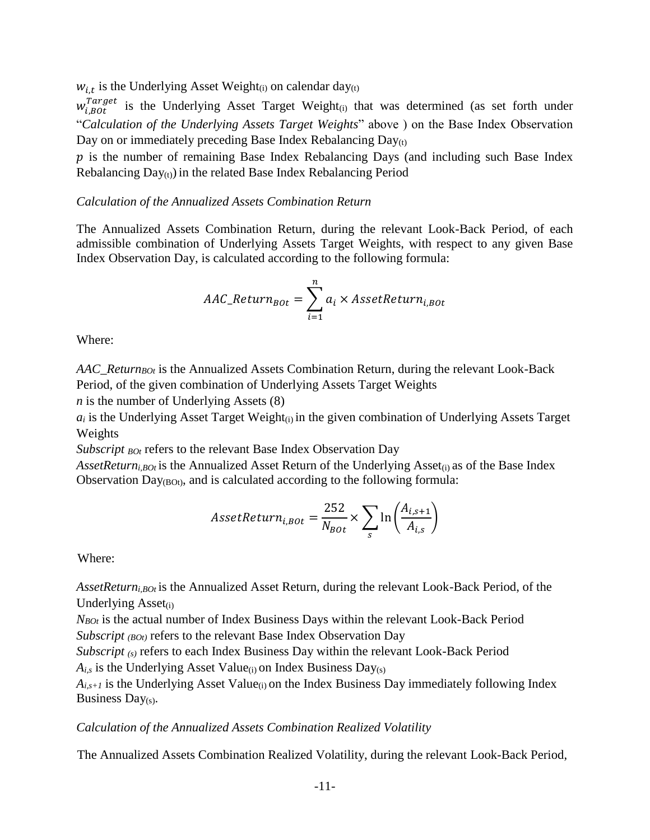$w_{i,t}$  is the Underlying Asset Weight<sub>(i)</sub> on calendar day<sub>(t)</sub>

 $w_{i,B0t}^{Target}$  is the Underlying Asset Target Weight<sub>(i)</sub> that was determined (as set forth under "*Calculation of the Underlying Assets Target Weights*" above ) on the Base Index Observation Day on or immediately preceding Base Index Rebalancing  $Day_{(t)}$ 

 $p$  is the number of remaining Base Index Rebalancing Days (and including such Base Index Rebalancing  $Day_{(t)}$ ) in the related Base Index Rebalancing Period

#### *Calculation of the Annualized Assets Combination Return*

The Annualized Assets Combination Return, during the relevant Look-Back Period, of each admissible combination of Underlying Assets Target Weights, with respect to any given Base Index Observation Day, is calculated according to the following formula:

$$
AAC\_Return_{Bot} = \sum_{i=1}^{n} a_i \times AssetReturn_{i,Bot}
$$

Where:

*AAC\_ReturnBOt* is the Annualized Assets Combination Return, during the relevant Look-Back Period, of the given combination of Underlying Assets Target Weights

*n* is the number of Underlying Assets (8)

 $a_i$  is the Underlying Asset Target Weight $(i)$  in the given combination of Underlying Assets Target Weights

*Subscript <sub>BOt</sub>* refers to the relevant Base Index Observation Day

*AssetReturn<sub>i,BOt</sub>* is the Annualized Asset Return of the Underlying Asset<sub>(i)</sub> as of the Base Index Observation  $Day_{(BOt)}$ , and is calculated according to the following formula:

$$
A \text{ssetReturn}_{i, BOL} = \frac{252}{N_{BOL}} \times \sum_{s} \ln \left( \frac{A_{i, s+1}}{A_{i, s}} \right)
$$

Where:

*AssetReturni,BOt* is the Annualized Asset Return, during the relevant Look-Back Period, of the Underlying  $\text{Asset}_{(i)}$ 

*NBOt* is the actual number of Index Business Days within the relevant Look-Back Period *Subscript <i>(BOt)* refers to the relevant Base Index Observation Day

*Subscript* (s) refers to each Index Business Day within the relevant Look-Back Period  $A_{i,s}$  is the Underlying Asset Value<sub>(i)</sub> on Index Business Day(s)

 $A_{i,s+1}$  is the Underlying Asset Value<sub>(i)</sub> on the Index Business Day immediately following Index Business Day $(s)$ .

#### *Calculation of the Annualized Assets Combination Realized Volatility*

The Annualized Assets Combination Realized Volatility, during the relevant Look-Back Period,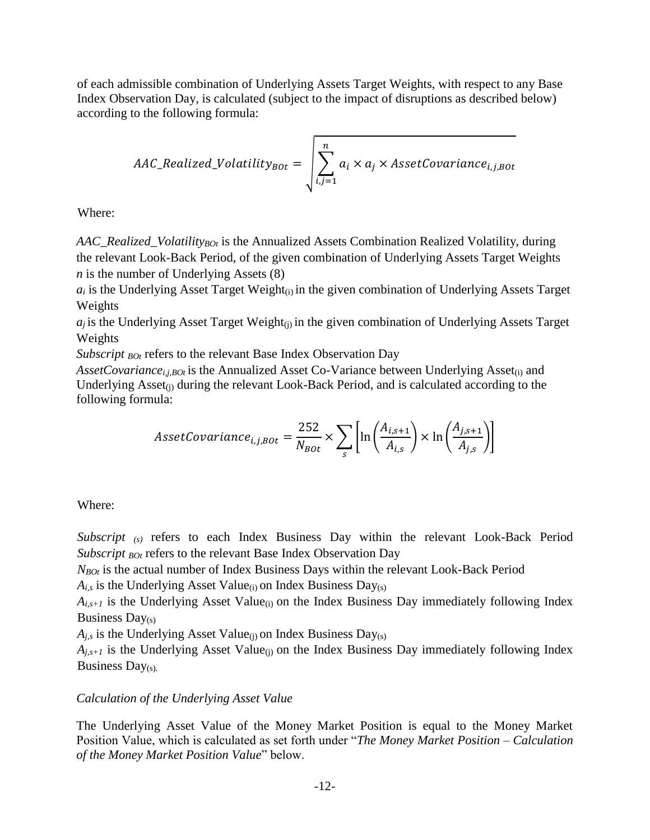of each admissible combination of Underlying Assets Target Weights, with respect to any Base Index Observation Day, is calculated (subject to the impact of disruptions as described below) according to the following formula:

$$
AAC\_Realized\_Volatility_{Bot} = \sqrt{\sum_{i,j=1}^{n} a_i \times a_j \times AssetCovariance_{i,j,Bot}}
$$

Where:

*AAC\_Realized\_VolatilityBOt* is the Annualized Assets Combination Realized Volatility, during the relevant Look-Back Period, of the given combination of Underlying Assets Target Weights *n* is the number of Underlying Assets (8)

 $a_i$  is the Underlying Asset Target Weight $(i)$  in the given combination of Underlying Assets Target Weights

 $a_i$  is the Underlying Asset Target Weight<sub>(i)</sub> in the given combination of Underlying Assets Target Weights

*Subscript BOt* refers to the relevant Base Index Observation Day

AssetCovariance<sub>i,i,BOt</sub> is the Annualized Asset Co-Variance between Underlying Asset<sub>(i)</sub> and Underlying  $\text{Asset}_{(i)}$  during the relevant Look-Back Period, and is calculated according to the following formula:

$$
A \text{ssetCovariance}_{i,j,Bot} = \frac{252}{N_{Bot}} \times \sum_{s} \left[ \ln \left( \frac{A_{i,s+1}}{A_{i,s}} \right) \times \ln \left( \frac{A_{j,s+1}}{A_{j,s}} \right) \right]
$$

Where:

*Subscript* (s) refers to each Index Business Day within the relevant Look-Back Period *Subscript <sub>BOt</sub>* refers to the relevant Base Index Observation Day

*NBOt* is the actual number of Index Business Days within the relevant Look-Back Period

 $A_{i,s}$  is the Underlying Asset Value<sub>(i)</sub> on Index Business Day<sub>(s)</sub>

 $A_{i,s+1}$  is the Underlying Asset Value<sub>(i)</sub> on the Index Business Day immediately following Index Business  $Day(s)$ 

 $A_{i,s}$  is the Underlying Asset Value<sub>(i)</sub> on Index Business Day<sub>(s)</sub>

 $A_{i,s+1}$  is the Underlying Asset Value<sub>(i)</sub> on the Index Business Day immediately following Index Business  $Day(s)$ .

#### *Calculation of the Underlying Asset Value*

The Underlying Asset Value of the Money Market Position is equal to the Money Market Position Value, which is calculated as set forth under "*The Money Market Position – Calculation of the Money Market Position Value*" below.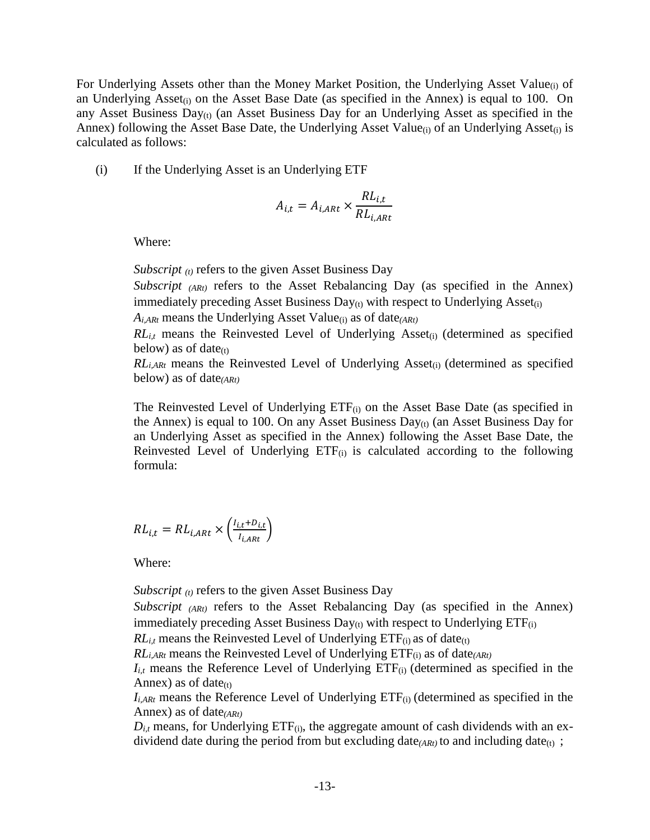For Underlying Assets other than the Money Market Position, the Underlying Asset Value<sub>(i)</sub> of an Underlying Asset<sub>(i)</sub> on the Asset Base Date (as specified in the Annex) is equal to 100. On any Asset Business  $Day_{(t)}$  (an Asset Business Day for an Underlying Asset as specified in the Annex) following the Asset Base Date, the Underlying Asset Value<sub>(i)</sub> of an Underlying Asset<sub>(i)</sub> is calculated as follows:

(i) If the Underlying Asset is an Underlying ETF

$$
A_{i,t} = A_{i,ARt} \times \frac{RL_{i,t}}{RL_{i,ARt}}
$$

Where:

*Subscript* <sup>*(t)*</sup> refers to the given Asset Business Day

*Subscript*  $(ARI)$  refers to the Asset Rebalancing Day (as specified in the Annex) immediately preceding Asset Business  $Day_{(t)}$  with respect to Underlying Asset<sub>(i)</sub>

*Ai,ARt* means the Underlying Asset Value(i) as of date*(ARt)*

 $RL_{i,t}$  means the Reinvested Level of Underlying Asset<sub>(i)</sub> (determined as specified below) as of date $(t)$ 

*RL*<sub>*i,ARt*</sub> means the Reinvested Level of Underlying Asset<sub>(i)</sub> (determined as specified below) as of date*(ARt)*

The Reinvested Level of Underlying  $ETF_{(i)}$  on the Asset Base Date (as specified in the Annex) is equal to 100. On any Asset Business Day $_{(t)}$  (an Asset Business Day for an Underlying Asset as specified in the Annex) following the Asset Base Date, the Reinvested Level of Underlying  $ETF(i)$  is calculated according to the following formula:

$$
RL_{i,t} = RL_{i,ARt} \times \left(\frac{I_{i,t} + D_{i,t}}{I_{i,ARt}}\right)
$$

Where:

*Subscript (t)* refers to the given Asset Business Day

*Subscript* (*ARt*) refers to the Asset Rebalancing Day (as specified in the Annex) immediately preceding Asset Business  $Day_{(t)}$  with respect to Underlying  $ETF_{(i)}$ 

 $RL_{i,t}$  means the Reinvested Level of Underlying  $ETF_{(i)}$  as of date<sub>(t)</sub>

*RLi,ARt* means the Reinvested Level of Underlying ETF(i) as of date*(ARt)*

 $I_{i,t}$  means the Reference Level of Underlying  $ETF_{(i)}$  (determined as specified in the Annex) as of date $(t)$ 

 $I_{i,ARt}$  means the Reference Level of Underlying  $ETF_{(i)}$  (determined as specified in the Annex) as of date*(ARt)*

 $D_{i,t}$  means, for Underlying ETF $_{(i)}$ , the aggregate amount of cash dividends with an exdividend date during the period from but excluding date<sub>(ARt)</sub> to and including date<sub>(t)</sub>;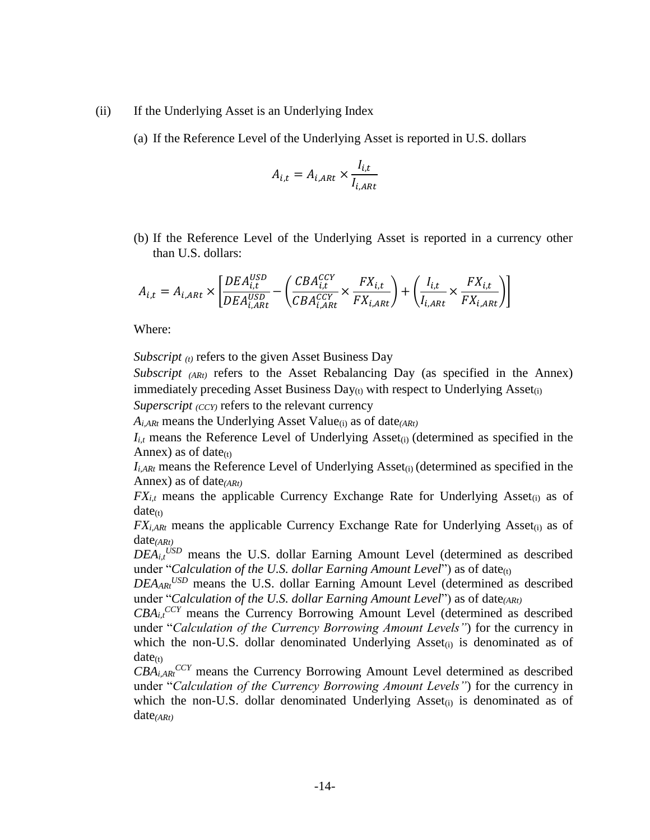#### (ii) If the Underlying Asset is an Underlying Index

(a) If the Reference Level of the Underlying Asset is reported in U.S. dollars

$$
A_{i,t} = A_{i,ARt} \times \frac{I_{i,t}}{I_{i,ARt}}
$$

(b) If the Reference Level of the Underlying Asset is reported in a currency other than U.S. dollars:

$$
A_{i,t} = A_{i,ARt} \times \left[ \frac{DEA_{i,t}^{USD}}{DEA_{i,ARt}^{USD}} - \left( \frac{CBA_{i,t}^{CCY}}{CBA_{i,ARt}^{CCY}} \times \frac{FX_{i,t}}{FX_{i,ARt}} \right) + \left( \frac{I_{i,t}}{I_{i,ARt}} \times \frac{FX_{i,t}}{FX_{i,ARt}} \right) \right]
$$

Where:

*Subscript (t)* refers to the given Asset Business Day

*Subscript*  $(ART)$  refers to the Asset Rebalancing Day (as specified in the Annex) immediately preceding Asset Business  $Day_{(t)}$  with respect to Underlying Asset<sub>(i)</sub>

*Superscript*  $\langle CCY \rangle$  refers to the relevant currency

*Ai,ARt* means the Underlying Asset Value(i) as of date*(ARt)*

 $I_{i,t}$  means the Reference Level of Underlying Asset<sub>(i)</sub> (determined as specified in the Annex) as of date $(t)$ 

 $I_{i,ARt}$  means the Reference Level of Underlying Asset<sub>(i)</sub> (determined as specified in the Annex) as of date*(ARt)*

 $FX_{i,t}$  means the applicable Currency Exchange Rate for Underlying Asset<sub>(i)</sub> as of  $date_{(t)}$ 

 $FX_{i,ARt}$  means the applicable Currency Exchange Rate for Underlying Asset<sub>(i)</sub> as of date*(ARt)*

 $DEA_{i,t}$ <sup>USD</sup> means the U.S. dollar Earning Amount Level (determined as described under "*Calculation of the U.S. dollar Earning Amount Level*") as of date<sub>(t)</sub>

*DEAARt USD* means the U.S. dollar Earning Amount Level (determined as described under "*Calculation of the U.S. dollar Earning Amount Level*") as of date*(ARt)*

 $CBA_{i,t}$ <sup>CCY</sup> means the Currency Borrowing Amount Level (determined as described under "*Calculation of the Currency Borrowing Amount Levels"*) for the currency in which the non-U.S. dollar denominated Underlying  $\text{Asset}_{(i)}$  is denominated as of  $date_{(t)}$ 

 $CBA<sub>i,ARt</sub>$ <sup>CCY</sup> means the Currency Borrowing Amount Level determined as described under "*Calculation of the Currency Borrowing Amount Levels"*) for the currency in which the non-U.S. dollar denominated Underlying Asset<sub>(i)</sub> is denominated as of date*(ARt)*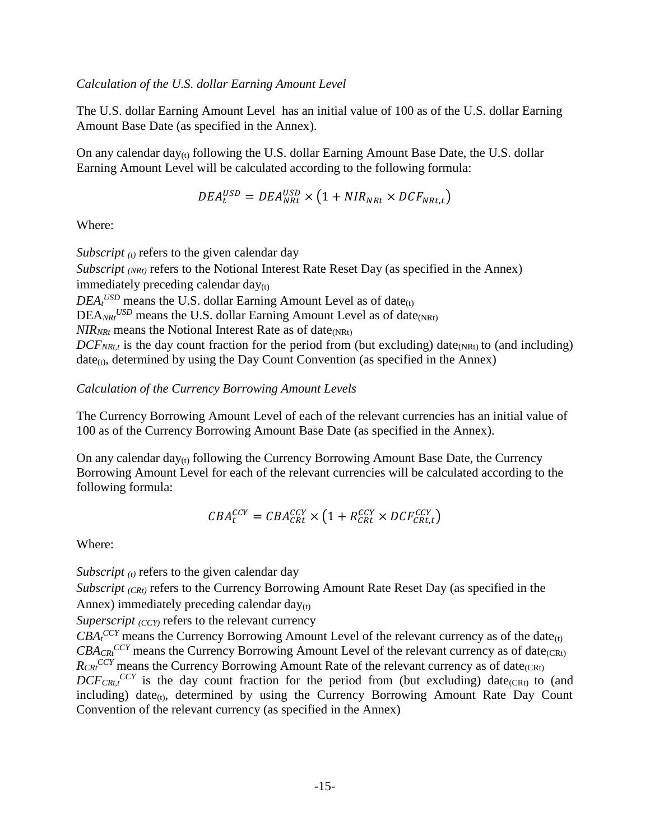#### *Calculation of the U.S. dollar Earning Amount Level*

The U.S. dollar Earning Amount Level has an initial value of 100 as of the U.S. dollar Earning Amount Base Date (as specified in the Annex).

On any calendar day $_{(t)}$  following the U.S. dollar Earning Amount Base Date, the U.S. dollar Earning Amount Level will be calculated according to the following formula:

$$
DEA_t^{USD} = DEA_{NRL}^{USD} \times \left(1 + NIR_{NRL} \times DCF_{NRL,t}\right)
$$

Where:

*Subscript (t)* refers to the given calendar day

*Subscript (NRt)* refers to the Notional Interest Rate Reset Day (as specified in the Annex) immediately preceding calendar  $day_{(t)}$ 

 $DEA_t$ <sup>*USD*</sup> means the U.S. dollar Earning Amount Level as of date<sub>(t)</sub>

DEA<sub>NRt</sub><sup>USD</sup> means the U.S. dollar Earning Amount Level as of date<sub>(NRt)</sub>

 $NIR_{NRt}$  means the Notional Interest Rate as of date<sub>(NRt)</sub>

 $DCF_{NRLt}$  is the day count fraction for the period from (but excluding) date<sub>(NRt)</sub> to (and including)  $date_{(t)}$ , determined by using the Day Count Convention (as specified in the Annex)

## *Calculation of the Currency Borrowing Amount Levels*

The Currency Borrowing Amount Level of each of the relevant currencies has an initial value of 100 as of the Currency Borrowing Amount Base Date (as specified in the Annex).

On any calendar  $day_{(t)}$  following the Currency Borrowing Amount Base Date, the Currency Borrowing Amount Level for each of the relevant currencies will be calculated according to the following formula:

$$
CBA_C^{CCY} = CBA_{CRt}^{CCY} \times \left(1 + R_{CRt}^{CCY} \times DCF_{CRt,t}^{CCY}\right)
$$

Where:

*Subscript (t)* refers to the given calendar day

*Subscript (CRt)* refers to the Currency Borrowing Amount Rate Reset Day (as specified in the Annex) immediately preceding calendar  $day_{(t)}$ 

*Superscript*  $\langle CCY \rangle$  refers to the relevant currency

 $CBA<sub>t</sub>$ <sup>*CCY*</sup> means the Currency Borrowing Amount Level of the relevant currency as of the date<sub>(t)</sub>  $CBA_{CR}$ <sup>*CCY*</sup> means the Currency Borrowing Amount Level of the relevant currency as of date<sub>(CRt)</sub>  $R_{CRt}^{CCY}$  means the Currency Borrowing Amount Rate of the relevant currency as of date<sub>(CRt)</sub>  $DCF_{CRt,t}^{CCY}$  is the day count fraction for the period from (but excluding) date<sub>(CRt)</sub> to (and including) date $(t)$ , determined by using the Currency Borrowing Amount Rate Day Count Convention of the relevant currency (as specified in the Annex)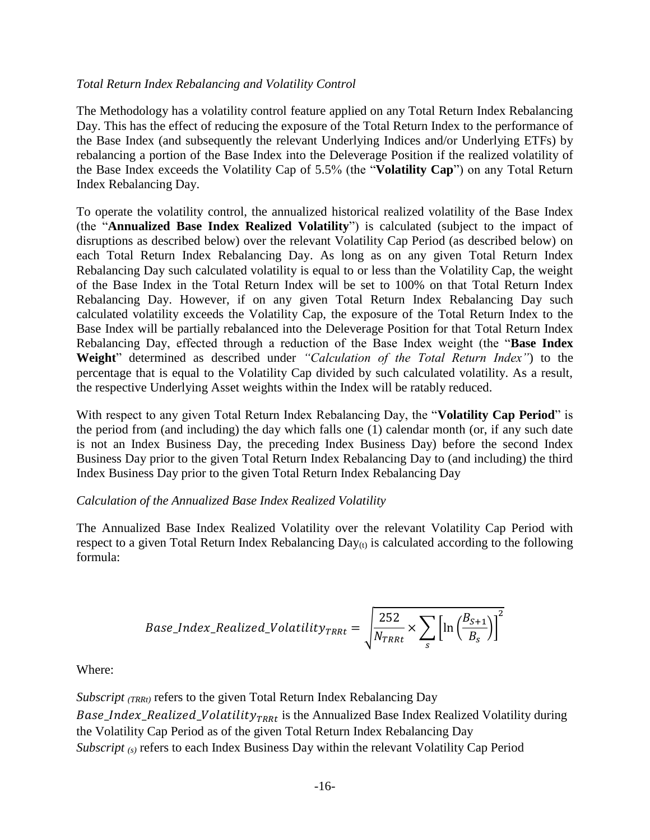### *Total Return Index Rebalancing and Volatility Control*

The Methodology has a volatility control feature applied on any Total Return Index Rebalancing Day. This has the effect of reducing the exposure of the Total Return Index to the performance of the Base Index (and subsequently the relevant Underlying Indices and/or Underlying ETFs) by rebalancing a portion of the Base Index into the Deleverage Position if the realized volatility of the Base Index exceeds the Volatility Cap of 5.5% (the "**Volatility Cap**") on any Total Return Index Rebalancing Day.

To operate the volatility control, the annualized historical realized volatility of the Base Index (the "**Annualized Base Index Realized Volatility**") is calculated (subject to the impact of disruptions as described below) over the relevant Volatility Cap Period (as described below) on each Total Return Index Rebalancing Day. As long as on any given Total Return Index Rebalancing Day such calculated volatility is equal to or less than the Volatility Cap, the weight of the Base Index in the Total Return Index will be set to 100% on that Total Return Index Rebalancing Day. However, if on any given Total Return Index Rebalancing Day such calculated volatility exceeds the Volatility Cap, the exposure of the Total Return Index to the Base Index will be partially rebalanced into the Deleverage Position for that Total Return Index Rebalancing Day, effected through a reduction of the Base Index weight (the "**Base Index Weight**" determined as described under *"Calculation of the Total Return Index"*) to the percentage that is equal to the Volatility Cap divided by such calculated volatility. As a result, the respective Underlying Asset weights within the Index will be ratably reduced.

With respect to any given Total Return Index Rebalancing Day, the "**Volatility Cap Period**" is the period from (and including) the day which falls one (1) calendar month (or, if any such date is not an Index Business Day, the preceding Index Business Day) before the second Index Business Day prior to the given Total Return Index Rebalancing Day to (and including) the third Index Business Day prior to the given Total Return Index Rebalancing Day

### *Calculation of the Annualized Base Index Realized Volatility*

The Annualized Base Index Realized Volatility over the relevant Volatility Cap Period with respect to a given Total Return Index Rebalancing  $Day_{(t)}$  is calculated according to the following formula:

$$
Base\_Index\_Realized\_Volatility_{TRRt} = \sqrt{\frac{252}{N_{TRRt}} \times \sum_{s} \left[ \ln \left( \frac{B_{S+1}}{B_S} \right) \right]^2}
$$

Where:

*Subscript (TRRt)* refers to the given Total Return Index Rebalancing Day Base\_Index\_Realized\_Volatility<sub>TRRt</sub> is the Annualized Base Index Realized Volatility during the Volatility Cap Period as of the given Total Return Index Rebalancing Day *Subscript (s)* refers to each Index Business Day within the relevant Volatility Cap Period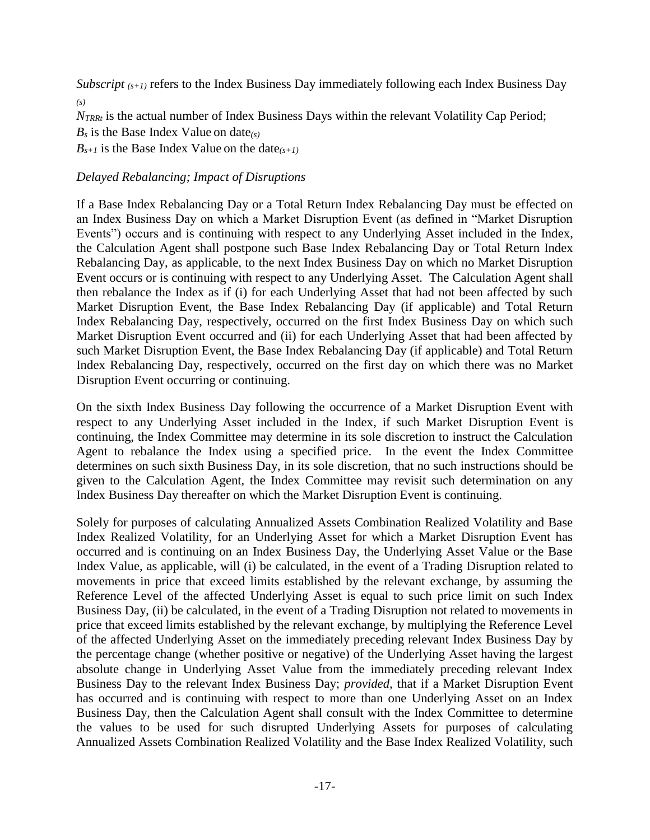*Subscript* (*s+1*) refers to the Index Business Day immediately following each Index Business Day *(s)*

*NTRRt* is the actual number of Index Business Days within the relevant Volatility Cap Period;

*B<sup>s</sup>* is the Base Index Value on date*(s)*

 $B_{s+1}$  is the Base Index Value on the date<sub>(s+1)</sub>

## *Delayed Rebalancing; Impact of Disruptions*

If a Base Index Rebalancing Day or a Total Return Index Rebalancing Day must be effected on an Index Business Day on which a Market Disruption Event (as defined in "Market Disruption Events") occurs and is continuing with respect to any Underlying Asset included in the Index, the Calculation Agent shall postpone such Base Index Rebalancing Day or Total Return Index Rebalancing Day, as applicable, to the next Index Business Day on which no Market Disruption Event occurs or is continuing with respect to any Underlying Asset. The Calculation Agent shall then rebalance the Index as if (i) for each Underlying Asset that had not been affected by such Market Disruption Event, the Base Index Rebalancing Day (if applicable) and Total Return Index Rebalancing Day, respectively, occurred on the first Index Business Day on which such Market Disruption Event occurred and (ii) for each Underlying Asset that had been affected by such Market Disruption Event, the Base Index Rebalancing Day (if applicable) and Total Return Index Rebalancing Day, respectively, occurred on the first day on which there was no Market Disruption Event occurring or continuing.

On the sixth Index Business Day following the occurrence of a Market Disruption Event with respect to any Underlying Asset included in the Index, if such Market Disruption Event is continuing, the Index Committee may determine in its sole discretion to instruct the Calculation Agent to rebalance the Index using a specified price. In the event the Index Committee determines on such sixth Business Day, in its sole discretion, that no such instructions should be given to the Calculation Agent, the Index Committee may revisit such determination on any Index Business Day thereafter on which the Market Disruption Event is continuing.

Solely for purposes of calculating Annualized Assets Combination Realized Volatility and Base Index Realized Volatility, for an Underlying Asset for which a Market Disruption Event has occurred and is continuing on an Index Business Day, the Underlying Asset Value or the Base Index Value, as applicable, will (i) be calculated, in the event of a Trading Disruption related to movements in price that exceed limits established by the relevant exchange, by assuming the Reference Level of the affected Underlying Asset is equal to such price limit on such Index Business Day, (ii) be calculated, in the event of a Trading Disruption not related to movements in price that exceed limits established by the relevant exchange, by multiplying the Reference Level of the affected Underlying Asset on the immediately preceding relevant Index Business Day by the percentage change (whether positive or negative) of the Underlying Asset having the largest absolute change in Underlying Asset Value from the immediately preceding relevant Index Business Day to the relevant Index Business Day; *provided,* that if a Market Disruption Event has occurred and is continuing with respect to more than one Underlying Asset on an Index Business Day, then the Calculation Agent shall consult with the Index Committee to determine the values to be used for such disrupted Underlying Assets for purposes of calculating Annualized Assets Combination Realized Volatility and the Base Index Realized Volatility, such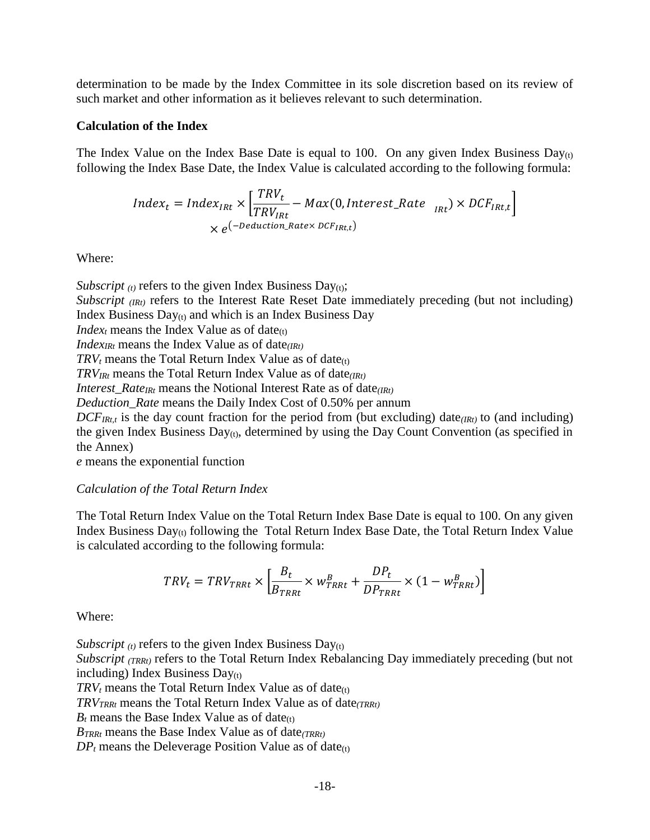determination to be made by the Index Committee in its sole discretion based on its review of such market and other information as it believes relevant to such determination.

#### **Calculation of the Index**

The Index Value on the Index Base Date is equal to 100. On any given Index Business Day<sub>(t)</sub> following the Index Base Date, the Index Value is calculated according to the following formula:

$$
Index_t = Index_{IRt} \times \left[ \frac{TRV_t}{TRV_{IRt}} - Max(0, Interest\_Rate_{IRt}) \times DCF_{IRt,t} \right]
$$

$$
\times e^{(-Deduction\_Rate \times DCF_{IRt,t})}
$$

Where:

*Subscript*  $(t)$  refers to the given Index Business Day $(t)$ ; *Subscript (IRt)* refers to the Interest Rate Reset Date immediately preceding (but not including) Index Business  $Day_{(t)}$  and which is an Index Business Day *Index<sub>t</sub>* means the Index Value as of date $(t)$ *IndexIRt* means the Index Value as of date*(IRt)*  $TRV_t$  means the Total Return Index Value as of date $(t)$ *TRVIRt* means the Total Return Index Value as of date*(IRt) Interest Rate<sub>IRt</sub>* means the Notional Interest Rate as of date<sub>(IRt)</sub> *Deduction\_Rate* means the Daily Index Cost of 0.50% per annum  $DCF_{IRt,t}$  is the day count fraction for the period from (but excluding) date<sub>(IRt)</sub> to (and including) the given Index Business  $Day_{(t)}$ , determined by using the Day Count Convention (as specified in the Annex)

*e* means the exponential function

#### *Calculation of the Total Return Index*

The Total Return Index Value on the Total Return Index Base Date is equal to 100. On any given Index Business Day(t) following the Total Return Index Base Date, the Total Return Index Value is calculated according to the following formula:

$$
TRV_t = TRV_{TRRt} \times \left[ \frac{B_t}{B_{TRRt}} \times w_{TRRt}^B + \frac{DP_t}{DP_{TRRt}} \times (1 - w_{TRRt}^B) \right]
$$

Where:

*Subscript*  $(t)$  refers to the given Index Business Day $(t)$ 

*Subscript (TRRt)* refers to the Total Return Index Rebalancing Day immediately preceding (but not including) Index Business  $Day<sub>(t)</sub>$ 

 $TRV_t$  means the Total Return Index Value as of date<sub>(t)</sub>

*TRVTRRt* means the Total Return Index Value as of date*(TRRt)*

 $B_t$  means the Base Index Value as of date<sub>(t)</sub>

*BTRRt* means the Base Index Value as of date*(TRRt)*

 $DP<sub>t</sub>$  means the Deleverage Position Value as of date<sub>(t)</sub>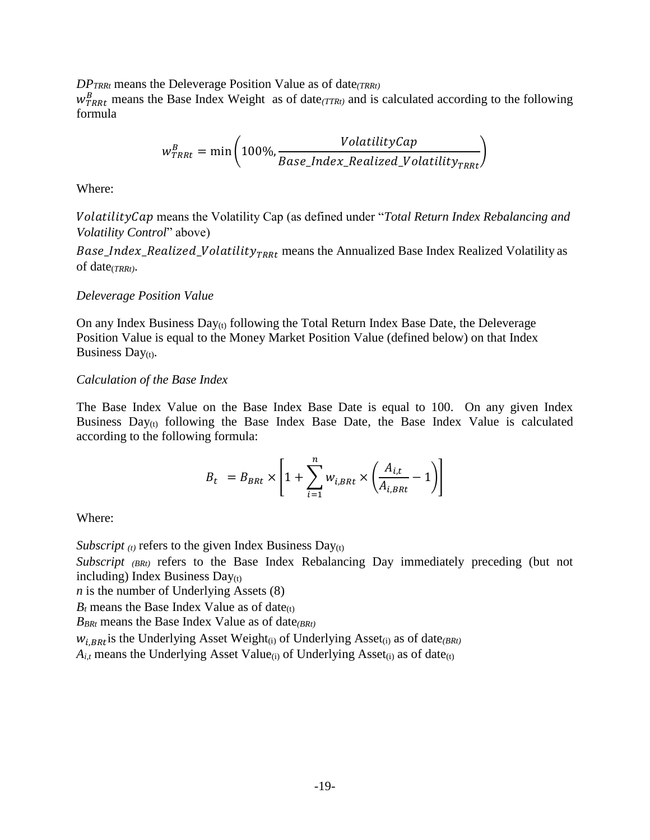*DPTRRt* means the Deleverage Position Value as of date*(TRRt)*

 $w_{TRRt}^B$  means the Base Index Weight as of date $(TTRt)$  and is calculated according to the following formula

$$
w_{TRRt}^{B} = \min\left(100\%, \frac{VolatilityCap}{Base\_Index\_Realized\_Volatility_{TRRt}}\right)
$$

Where:

 means the Volatility Cap (as defined under "*Total Return Index Rebalancing and Volatility Control*" above)

Base\_Index\_Realized\_Volatility<sub>TRRt</sub> means the Annualized Base Index Realized Volatility as of date(*TRRt)*.

#### *Deleverage Position Value*

On any Index Business  $Day_{(t)}$  following the Total Return Index Base Date, the Deleverage Position Value is equal to the Money Market Position Value (defined below) on that Index Business Day $(t)$ .

#### *Calculation of the Base Index*

The Base Index Value on the Base Index Base Date is equal to 100. On any given Index Business  $Day_{(t)}$  following the Base Index Base Date, the Base Index Value is calculated according to the following formula:

$$
B_t = B_{B R t} \times \left[1 + \sum_{i=1}^{n} w_{i,B R t} \times \left(\frac{A_{i,t}}{A_{i,B R t}} - 1\right)\right]
$$

Where:

*Subscript*  $(t)$  refers to the given Index Business Day $(t)$ 

*Subscript (BRt)* refers to the Base Index Rebalancing Day immediately preceding (but not including) Index Business  $Day(t)$ 

*n* is the number of Underlying Assets (8)

 $B_t$  means the Base Index Value as of date<sub>(t)</sub>

*BBRt* means the Base Index Value as of date*(BRt)*

 $W_{i,BRt}$  is the Underlying Asset Weight<sub>(i)</sub> of Underlying Asset<sub>(i)</sub> as of date<sub>(BRt)</sub>

 $A_{i,t}$  means the Underlying Asset Value<sub>(i)</sub> of Underlying Asset<sub>(i)</sub> as of date<sub>(t)</sub>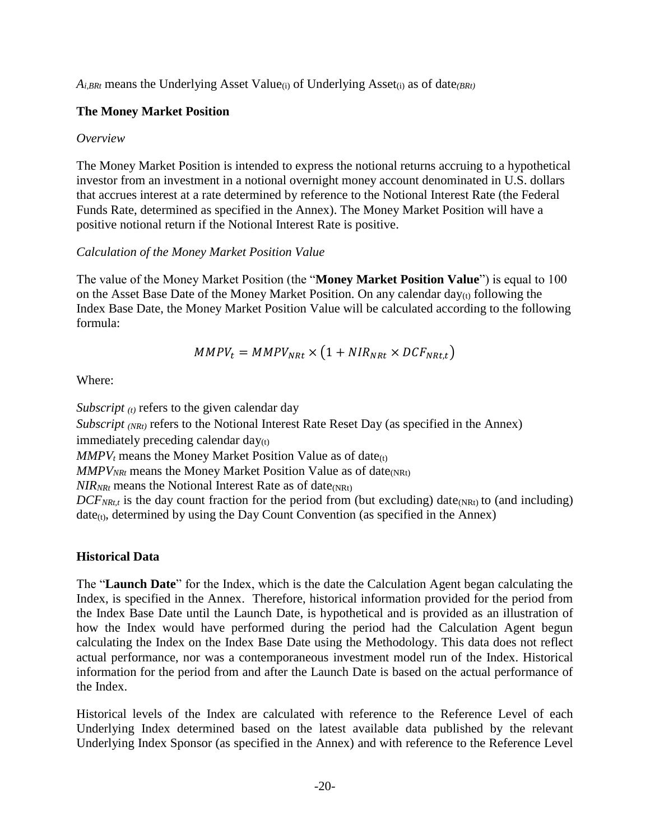$A_{i,BRt}$  means the Underlying Asset Value<sub>(i)</sub> of Underlying Asset<sub>(i)</sub> as of date<sub>(BRt)</sub>

## **The Money Market Position**

## *Overview*

The Money Market Position is intended to express the notional returns accruing to a hypothetical investor from an investment in a notional overnight money account denominated in U.S. dollars that accrues interest at a rate determined by reference to the Notional Interest Rate (the Federal Funds Rate, determined as specified in the Annex). The Money Market Position will have a positive notional return if the Notional Interest Rate is positive.

## *Calculation of the Money Market Position Value*

The value of the Money Market Position (the "**Money Market Position Value**") is equal to 100 on the Asset Base Date of the Money Market Position. On any calendar day $_{(t)}$  following the Index Base Date, the Money Market Position Value will be calculated according to the following formula:

$$
MMPV_t = MMPV_{NRt} \times (1 + NIR_{NRt} \times DCF_{NRt,t})
$$

Where:

*Subscript (t)* refers to the given calendar day *Subscript (NRt)* refers to the Notional Interest Rate Reset Day (as specified in the Annex) immediately preceding calendar  $day_{(t)}$  $MMPV<sub>t</sub>$  means the Money Market Position Value as of date<sub>(t)</sub>  $MMPV<sub>NRt</sub>$  means the Money Market Position Value as of date<sub>(NRt)</sub>  $NIR_{NRt}$  means the Notional Interest Rate as of date<sub>(NRt)</sub>  $DCF_{NRt,t}$  is the day count fraction for the period from (but excluding) date<sub>(NRt)</sub> to (and including)  $date_{(t)}$ , determined by using the Day Count Convention (as specified in the Annex)

## **Historical Data**

The "**Launch Date**" for the Index, which is the date the Calculation Agent began calculating the Index, is specified in the Annex. Therefore, historical information provided for the period from the Index Base Date until the Launch Date, is hypothetical and is provided as an illustration of how the Index would have performed during the period had the Calculation Agent begun calculating the Index on the Index Base Date using the Methodology. This data does not reflect actual performance, nor was a contemporaneous investment model run of the Index. Historical information for the period from and after the Launch Date is based on the actual performance of the Index.

Historical levels of the Index are calculated with reference to the Reference Level of each Underlying Index determined based on the latest available data published by the relevant Underlying Index Sponsor (as specified in the Annex) and with reference to the Reference Level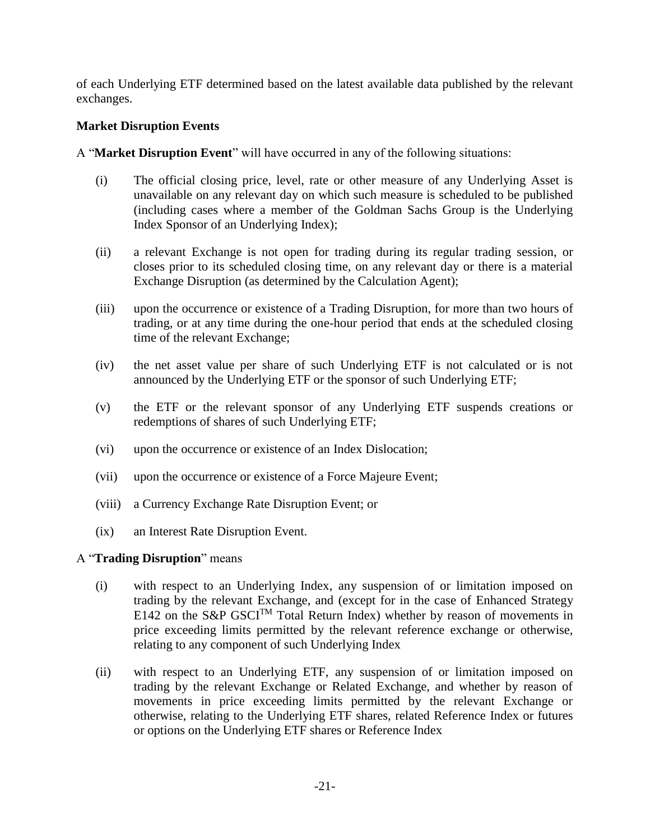of each Underlying ETF determined based on the latest available data published by the relevant exchanges.

#### **Market Disruption Events**

A "**Market Disruption Event**" will have occurred in any of the following situations:

- (i) The official closing price, level, rate or other measure of any Underlying Asset is unavailable on any relevant day on which such measure is scheduled to be published (including cases where a member of the Goldman Sachs Group is the Underlying Index Sponsor of an Underlying Index);
- (ii) a relevant Exchange is not open for trading during its regular trading session, or closes prior to its scheduled closing time, on any relevant day or there is a material Exchange Disruption (as determined by the Calculation Agent);
- (iii) upon the occurrence or existence of a Trading Disruption, for more than two hours of trading, or at any time during the one-hour period that ends at the scheduled closing time of the relevant Exchange;
- (iv) the net asset value per share of such Underlying ETF is not calculated or is not announced by the Underlying ETF or the sponsor of such Underlying ETF;
- (v) the ETF or the relevant sponsor of any Underlying ETF suspends creations or redemptions of shares of such Underlying ETF;
- (vi) upon the occurrence or existence of an Index Dislocation;
- (vii) upon the occurrence or existence of a Force Majeure Event;
- (viii) a Currency Exchange Rate Disruption Event; or
- (ix) an Interest Rate Disruption Event.

#### A "**Trading Disruption**" means

- (i) with respect to an Underlying Index, any suspension of or limitation imposed on trading by the relevant Exchange, and (except for in the case of Enhanced Strategy E142 on the S&P GSCI<sup>TM</sup> Total Return Index) whether by reason of movements in price exceeding limits permitted by the relevant reference exchange or otherwise, relating to any component of such Underlying Index
- (ii) with respect to an Underlying ETF, any suspension of or limitation imposed on trading by the relevant Exchange or Related Exchange, and whether by reason of movements in price exceeding limits permitted by the relevant Exchange or otherwise, relating to the Underlying ETF shares, related Reference Index or futures or options on the Underlying ETF shares or Reference Index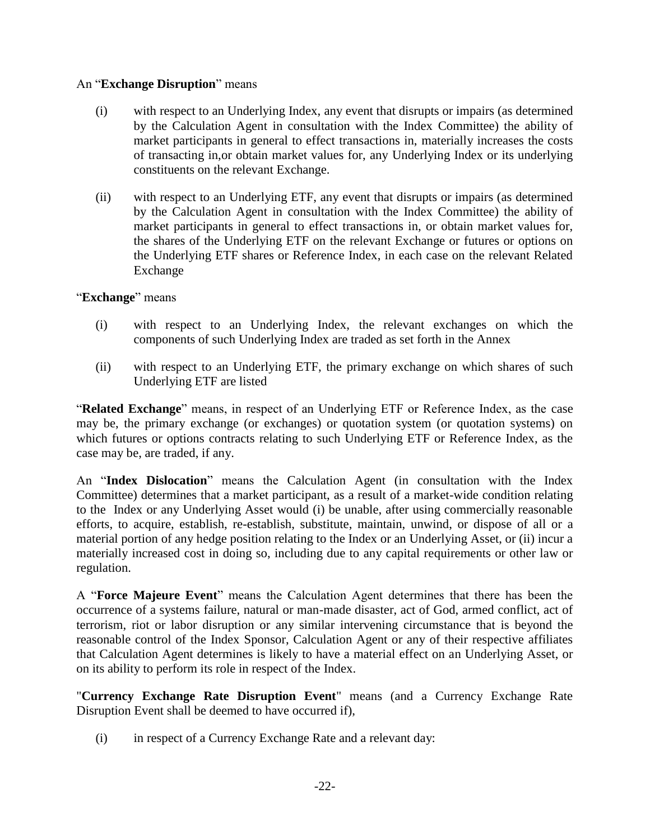#### An "**Exchange Disruption**" means

- (i) with respect to an Underlying Index, any event that disrupts or impairs (as determined by the Calculation Agent in consultation with the Index Committee) the ability of market participants in general to effect transactions in, materially increases the costs of transacting in,or obtain market values for, any Underlying Index or its underlying constituents on the relevant Exchange.
- (ii) with respect to an Underlying ETF, any event that disrupts or impairs (as determined by the Calculation Agent in consultation with the Index Committee) the ability of market participants in general to effect transactions in, or obtain market values for, the shares of the Underlying ETF on the relevant Exchange or futures or options on the Underlying ETF shares or Reference Index, in each case on the relevant Related Exchange

#### "**Exchange**" means

- (i) with respect to an Underlying Index, the relevant exchanges on which the components of such Underlying Index are traded as set forth in the Annex
- (ii) with respect to an Underlying ETF, the primary exchange on which shares of such Underlying ETF are listed

"**Related Exchange**" means, in respect of an Underlying ETF or Reference Index, as the case may be, the primary exchange (or exchanges) or quotation system (or quotation systems) on which futures or options contracts relating to such Underlying ETF or Reference Index, as the case may be, are traded, if any.

An "**Index Dislocation**" means the Calculation Agent (in consultation with the Index Committee) determines that a market participant, as a result of a market-wide condition relating to the Index or any Underlying Asset would (i) be unable, after using commercially reasonable efforts, to acquire, establish, re-establish, substitute, maintain, unwind, or dispose of all or a material portion of any hedge position relating to the Index or an Underlying Asset, or (ii) incur a materially increased cost in doing so, including due to any capital requirements or other law or regulation.

A "**Force Majeure Event**" means the Calculation Agent determines that there has been the occurrence of a systems failure, natural or man-made disaster, act of God, armed conflict, act of terrorism, riot or labor disruption or any similar intervening circumstance that is beyond the reasonable control of the Index Sponsor, Calculation Agent or any of their respective affiliates that Calculation Agent determines is likely to have a material effect on an Underlying Asset, or on its ability to perform its role in respect of the Index.

"**Currency Exchange Rate Disruption Event**" means (and a Currency Exchange Rate Disruption Event shall be deemed to have occurred if),

(i) in respect of a Currency Exchange Rate and a relevant day: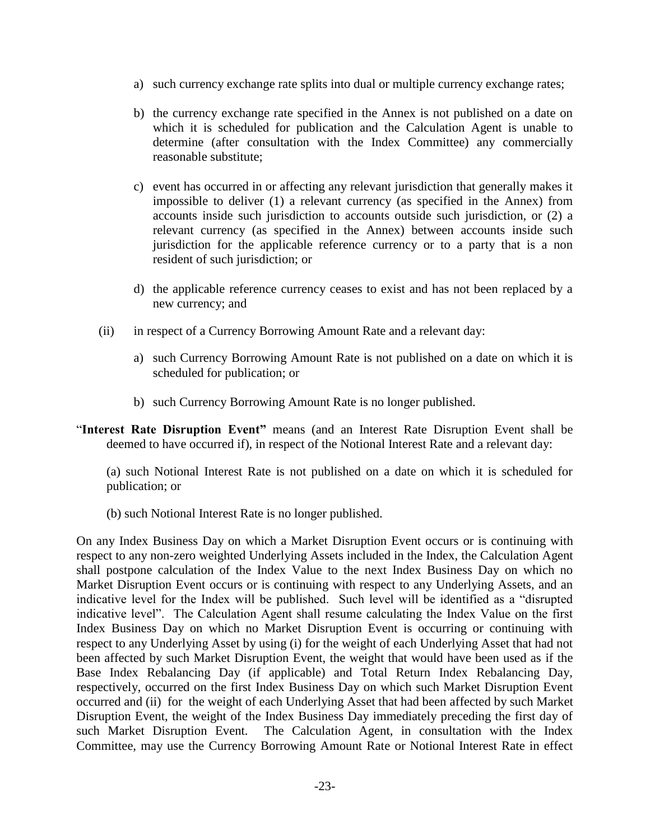- a) such currency exchange rate splits into dual or multiple currency exchange rates;
- b) the currency exchange rate specified in the Annex is not published on a date on which it is scheduled for publication and the Calculation Agent is unable to determine (after consultation with the Index Committee) any commercially reasonable substitute;
- c) event has occurred in or affecting any relevant jurisdiction that generally makes it impossible to deliver (1) a relevant currency (as specified in the Annex) from accounts inside such jurisdiction to accounts outside such jurisdiction, or (2) a relevant currency (as specified in the Annex) between accounts inside such jurisdiction for the applicable reference currency or to a party that is a non resident of such jurisdiction; or
- d) the applicable reference currency ceases to exist and has not been replaced by a new currency; and
- (ii) in respect of a Currency Borrowing Amount Rate and a relevant day:
	- a) such Currency Borrowing Amount Rate is not published on a date on which it is scheduled for publication; or
	- b) such Currency Borrowing Amount Rate is no longer published.
- "**Interest Rate Disruption Event"** means (and an Interest Rate Disruption Event shall be deemed to have occurred if), in respect of the Notional Interest Rate and a relevant day:

(a) such Notional Interest Rate is not published on a date on which it is scheduled for publication; or

(b) such Notional Interest Rate is no longer published.

On any Index Business Day on which a Market Disruption Event occurs or is continuing with respect to any non-zero weighted Underlying Assets included in the Index, the Calculation Agent shall postpone calculation of the Index Value to the next Index Business Day on which no Market Disruption Event occurs or is continuing with respect to any Underlying Assets, and an indicative level for the Index will be published. Such level will be identified as a "disrupted indicative level". The Calculation Agent shall resume calculating the Index Value on the first Index Business Day on which no Market Disruption Event is occurring or continuing with respect to any Underlying Asset by using (i) for the weight of each Underlying Asset that had not been affected by such Market Disruption Event, the weight that would have been used as if the Base Index Rebalancing Day (if applicable) and Total Return Index Rebalancing Day, respectively, occurred on the first Index Business Day on which such Market Disruption Event occurred and (ii) for the weight of each Underlying Asset that had been affected by such Market Disruption Event, the weight of the Index Business Day immediately preceding the first day of such Market Disruption Event. The Calculation Agent, in consultation with the Index Committee, may use the Currency Borrowing Amount Rate or Notional Interest Rate in effect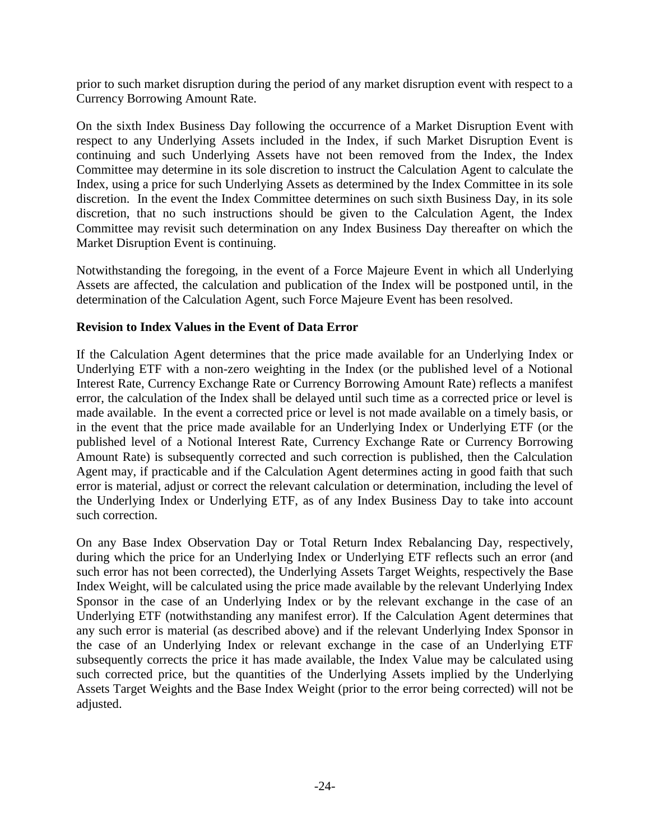prior to such market disruption during the period of any market disruption event with respect to a Currency Borrowing Amount Rate.

On the sixth Index Business Day following the occurrence of a Market Disruption Event with respect to any Underlying Assets included in the Index, if such Market Disruption Event is continuing and such Underlying Assets have not been removed from the Index, the Index Committee may determine in its sole discretion to instruct the Calculation Agent to calculate the Index, using a price for such Underlying Assets as determined by the Index Committee in its sole discretion. In the event the Index Committee determines on such sixth Business Day, in its sole discretion, that no such instructions should be given to the Calculation Agent, the Index Committee may revisit such determination on any Index Business Day thereafter on which the Market Disruption Event is continuing.

Notwithstanding the foregoing, in the event of a Force Majeure Event in which all Underlying Assets are affected, the calculation and publication of the Index will be postponed until, in the determination of the Calculation Agent, such Force Majeure Event has been resolved.

#### **Revision to Index Values in the Event of Data Error**

If the Calculation Agent determines that the price made available for an Underlying Index or Underlying ETF with a non-zero weighting in the Index (or the published level of a Notional Interest Rate, Currency Exchange Rate or Currency Borrowing Amount Rate) reflects a manifest error, the calculation of the Index shall be delayed until such time as a corrected price or level is made available. In the event a corrected price or level is not made available on a timely basis, or in the event that the price made available for an Underlying Index or Underlying ETF (or the published level of a Notional Interest Rate, Currency Exchange Rate or Currency Borrowing Amount Rate) is subsequently corrected and such correction is published, then the Calculation Agent may, if practicable and if the Calculation Agent determines acting in good faith that such error is material, adjust or correct the relevant calculation or determination, including the level of the Underlying Index or Underlying ETF, as of any Index Business Day to take into account such correction.

On any Base Index Observation Day or Total Return Index Rebalancing Day, respectively, during which the price for an Underlying Index or Underlying ETF reflects such an error (and such error has not been corrected), the Underlying Assets Target Weights, respectively the Base Index Weight, will be calculated using the price made available by the relevant Underlying Index Sponsor in the case of an Underlying Index or by the relevant exchange in the case of an Underlying ETF (notwithstanding any manifest error). If the Calculation Agent determines that any such error is material (as described above) and if the relevant Underlying Index Sponsor in the case of an Underlying Index or relevant exchange in the case of an Underlying ETF subsequently corrects the price it has made available, the Index Value may be calculated using such corrected price, but the quantities of the Underlying Assets implied by the Underlying Assets Target Weights and the Base Index Weight (prior to the error being corrected) will not be adjusted.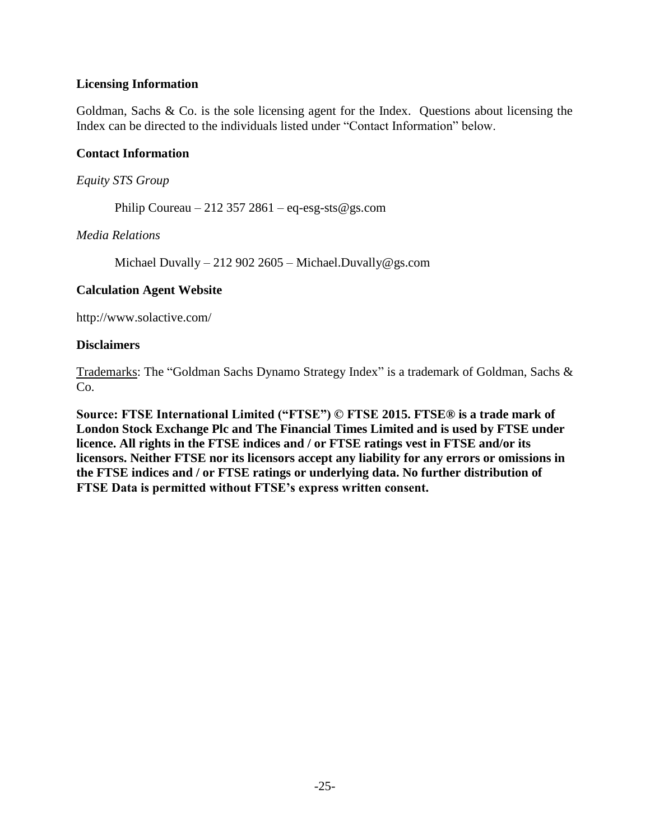#### **Licensing Information**

Goldman, Sachs & Co. is the sole licensing agent for the Index. Questions about licensing the Index can be directed to the individuals listed under "Contact Information" below.

#### **Contact Information**

#### *Equity STS Group*

Philip Coureau  $-212$  357 2861 – eq-esg-sts@gs.com

#### *Media Relations*

Michael Duvally – 212 902 2605 – Michael.Duvally@gs.com

#### **Calculation Agent Website**

http://www.solactive.com/

#### **Disclaimers**

Trademarks: The "Goldman Sachs Dynamo Strategy Index" is a trademark of Goldman, Sachs & C<sub>o</sub>.

**Source: FTSE International Limited ("FTSE") © FTSE 2015. FTSE® is a trade mark of London Stock Exchange Plc and The Financial Times Limited and is used by FTSE under licence. All rights in the FTSE indices and / or FTSE ratings vest in FTSE and/or its licensors. Neither FTSE nor its licensors accept any liability for any errors or omissions in the FTSE indices and / or FTSE ratings or underlying data. No further distribution of FTSE Data is permitted without FTSE's express written consent.**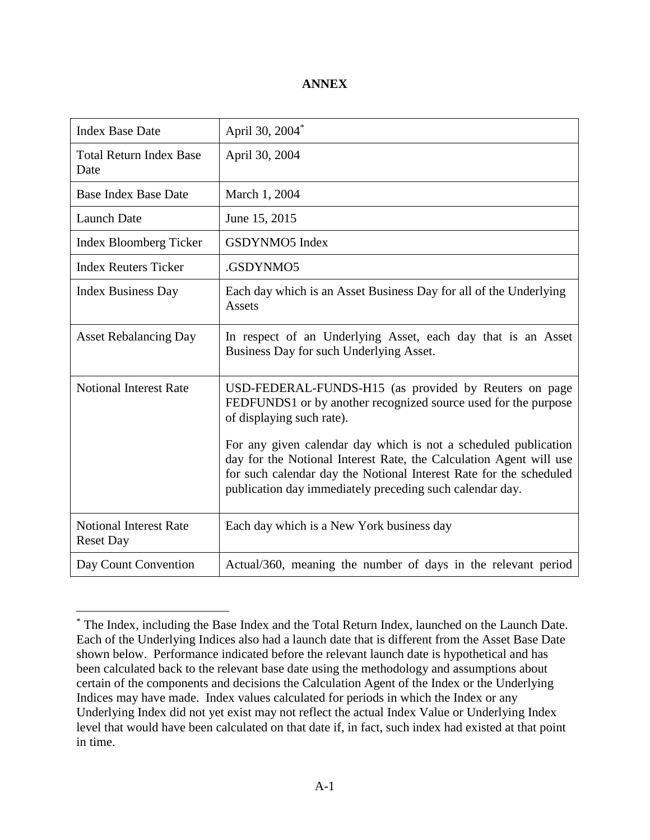#### **ANNEX**

| <b>Index Base Date</b>                            | April 30, 2004 <sup>*</sup>                                                                                                                                                                                                                                                                                                                                                                                                     |
|---------------------------------------------------|---------------------------------------------------------------------------------------------------------------------------------------------------------------------------------------------------------------------------------------------------------------------------------------------------------------------------------------------------------------------------------------------------------------------------------|
| <b>Total Return Index Base</b><br>Date            | April 30, 2004                                                                                                                                                                                                                                                                                                                                                                                                                  |
| <b>Base Index Base Date</b>                       | March 1, 2004                                                                                                                                                                                                                                                                                                                                                                                                                   |
| <b>Launch Date</b>                                | June 15, 2015                                                                                                                                                                                                                                                                                                                                                                                                                   |
| <b>Index Bloomberg Ticker</b>                     | GSDYNMO5 Index                                                                                                                                                                                                                                                                                                                                                                                                                  |
| <b>Index Reuters Ticker</b>                       | .GSDYNMO5                                                                                                                                                                                                                                                                                                                                                                                                                       |
| <b>Index Business Day</b>                         | Each day which is an Asset Business Day for all of the Underlying<br>Assets                                                                                                                                                                                                                                                                                                                                                     |
| <b>Asset Rebalancing Day</b>                      | In respect of an Underlying Asset, each day that is an Asset<br>Business Day for such Underlying Asset.                                                                                                                                                                                                                                                                                                                         |
| <b>Notional Interest Rate</b>                     | USD-FEDERAL-FUNDS-H15 (as provided by Reuters on page<br>FEDFUNDS1 or by another recognized source used for the purpose<br>of displaying such rate).<br>For any given calendar day which is not a scheduled publication<br>day for the Notional Interest Rate, the Calculation Agent will use<br>for such calendar day the Notional Interest Rate for the scheduled<br>publication day immediately preceding such calendar day. |
| <b>Notional Interest Rate</b><br><b>Reset Day</b> | Each day which is a New York business day                                                                                                                                                                                                                                                                                                                                                                                       |
| Day Count Convention                              | Actual/360, meaning the number of days in the relevant period                                                                                                                                                                                                                                                                                                                                                                   |

 $\overline{a}$ 

<sup>\*</sup> The Index, including the Base Index and the Total Return Index, launched on the Launch Date. Each of the Underlying Indices also had a launch date that is different from the Asset Base Date shown below. Performance indicated before the relevant launch date is hypothetical and has been calculated back to the relevant base date using the methodology and assumptions about certain of the components and decisions the Calculation Agent of the Index or the Underlying Indices may have made. Index values calculated for periods in which the Index or any Underlying Index did not yet exist may not reflect the actual Index Value or Underlying Index level that would have been calculated on that date if, in fact, such index had existed at that point in time.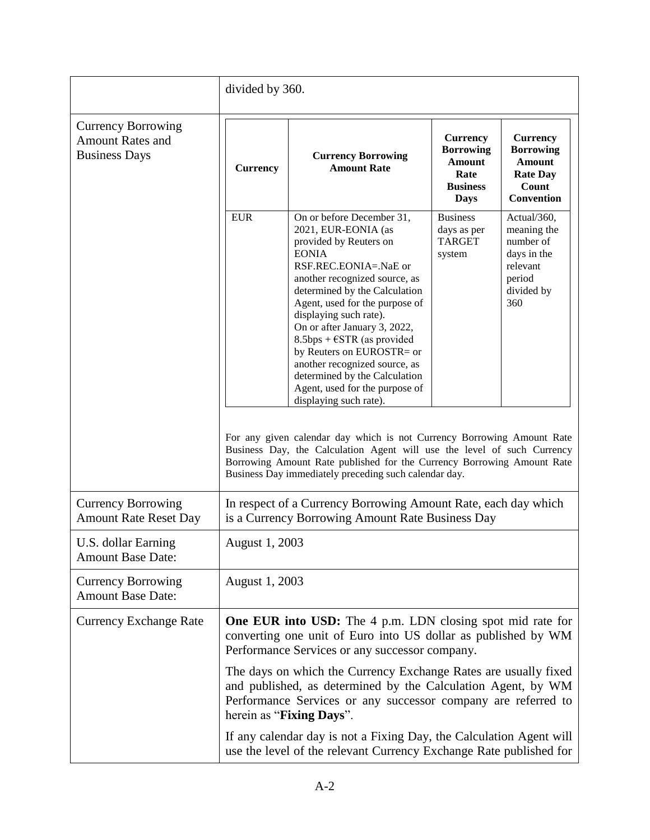|                                                                              | divided by 360.                                                                                                                                                                                                                                                                                                                                                                                                      |                                                                                                                                                                                                                                                                                                                                                                                                                                                                                                                                                                                                                                                                                                                                                                                 |                                                                                                |                                                                                                       |  |
|------------------------------------------------------------------------------|----------------------------------------------------------------------------------------------------------------------------------------------------------------------------------------------------------------------------------------------------------------------------------------------------------------------------------------------------------------------------------------------------------------------|---------------------------------------------------------------------------------------------------------------------------------------------------------------------------------------------------------------------------------------------------------------------------------------------------------------------------------------------------------------------------------------------------------------------------------------------------------------------------------------------------------------------------------------------------------------------------------------------------------------------------------------------------------------------------------------------------------------------------------------------------------------------------------|------------------------------------------------------------------------------------------------|-------------------------------------------------------------------------------------------------------|--|
| <b>Currency Borrowing</b><br><b>Amount Rates and</b><br><b>Business Days</b> | <b>Currency</b>                                                                                                                                                                                                                                                                                                                                                                                                      | <b>Currency Borrowing</b><br><b>Amount Rate</b>                                                                                                                                                                                                                                                                                                                                                                                                                                                                                                                                                                                                                                                                                                                                 | <b>Currency</b><br><b>Borrowing</b><br><b>Amount</b><br>Rate<br><b>Business</b><br><b>Days</b> | <b>Currency</b><br><b>Borrowing</b><br><b>Amount</b><br><b>Rate Day</b><br>Count<br><b>Convention</b> |  |
|                                                                              | <b>EUR</b>                                                                                                                                                                                                                                                                                                                                                                                                           | On or before December 31,<br>2021, EUR-EONIA (as<br>provided by Reuters on<br><b>EONIA</b><br>RSF.REC.EONIA=.NaE or<br>another recognized source, as<br>determined by the Calculation<br>Agent, used for the purpose of<br>displaying such rate).<br>On or after January 3, 2022,<br>$8.5$ bps + $\epsilon$ STR (as provided<br>by Reuters on EUROSTR= or<br>another recognized source, as<br>determined by the Calculation<br>Agent, used for the purpose of<br>displaying such rate).<br>For any given calendar day which is not Currency Borrowing Amount Rate<br>Business Day, the Calculation Agent will use the level of such Currency<br>Borrowing Amount Rate published for the Currency Borrowing Amount Rate<br>Business Day immediately preceding such calendar day. | <b>Business</b><br>days as per<br><b>TARGET</b><br>system                                      | Actual/360,<br>meaning the<br>number of<br>days in the<br>relevant<br>period<br>divided by<br>360     |  |
| <b>Currency Borrowing</b><br><b>Amount Rate Reset Day</b>                    | In respect of a Currency Borrowing Amount Rate, each day which<br>is a Currency Borrowing Amount Rate Business Day                                                                                                                                                                                                                                                                                                   |                                                                                                                                                                                                                                                                                                                                                                                                                                                                                                                                                                                                                                                                                                                                                                                 |                                                                                                |                                                                                                       |  |
| U.S. dollar Earning<br><b>Amount Base Date:</b>                              | August 1, 2003                                                                                                                                                                                                                                                                                                                                                                                                       |                                                                                                                                                                                                                                                                                                                                                                                                                                                                                                                                                                                                                                                                                                                                                                                 |                                                                                                |                                                                                                       |  |
| <b>Currency Borrowing</b><br><b>Amount Base Date:</b>                        | August 1, 2003                                                                                                                                                                                                                                                                                                                                                                                                       |                                                                                                                                                                                                                                                                                                                                                                                                                                                                                                                                                                                                                                                                                                                                                                                 |                                                                                                |                                                                                                       |  |
| <b>Currency Exchange Rate</b>                                                | <b>One EUR into USD:</b> The 4 p.m. LDN closing spot mid rate for<br>converting one unit of Euro into US dollar as published by WM<br>Performance Services or any successor company.<br>The days on which the Currency Exchange Rates are usually fixed<br>and published, as determined by the Calculation Agent, by WM<br>Performance Services or any successor company are referred to<br>herein as "Fixing Days". |                                                                                                                                                                                                                                                                                                                                                                                                                                                                                                                                                                                                                                                                                                                                                                                 |                                                                                                |                                                                                                       |  |
|                                                                              | If any calendar day is not a Fixing Day, the Calculation Agent will<br>use the level of the relevant Currency Exchange Rate published for                                                                                                                                                                                                                                                                            |                                                                                                                                                                                                                                                                                                                                                                                                                                                                                                                                                                                                                                                                                                                                                                                 |                                                                                                |                                                                                                       |  |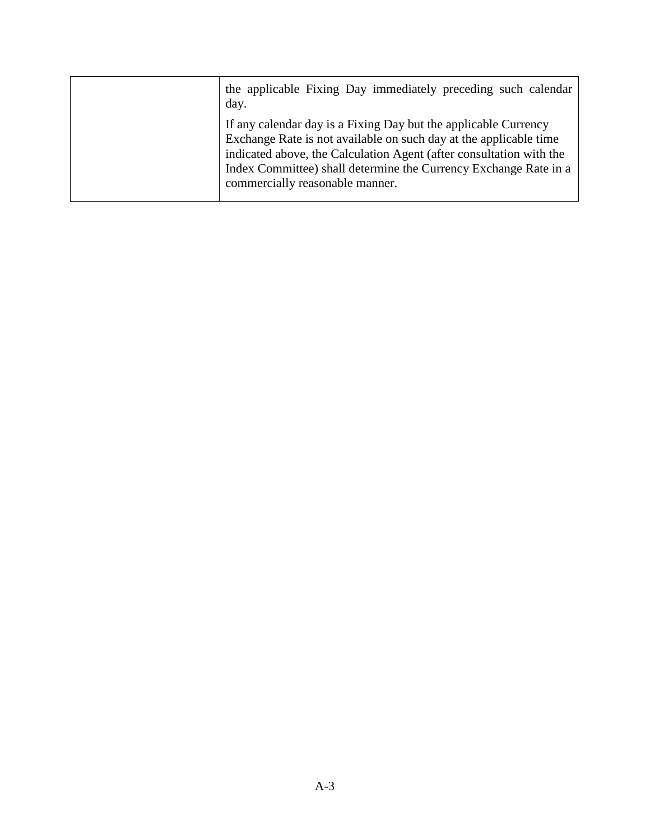| the applicable Fixing Day immediately preceding such calendar<br>day.                                                                                                                                                                                                                                              |
|--------------------------------------------------------------------------------------------------------------------------------------------------------------------------------------------------------------------------------------------------------------------------------------------------------------------|
| If any calendar day is a Fixing Day but the applicable Currency<br>Exchange Rate is not available on such day at the applicable time<br>indicated above, the Calculation Agent (after consultation with the<br>Index Committee) shall determine the Currency Exchange Rate in a<br>commercially reasonable manner. |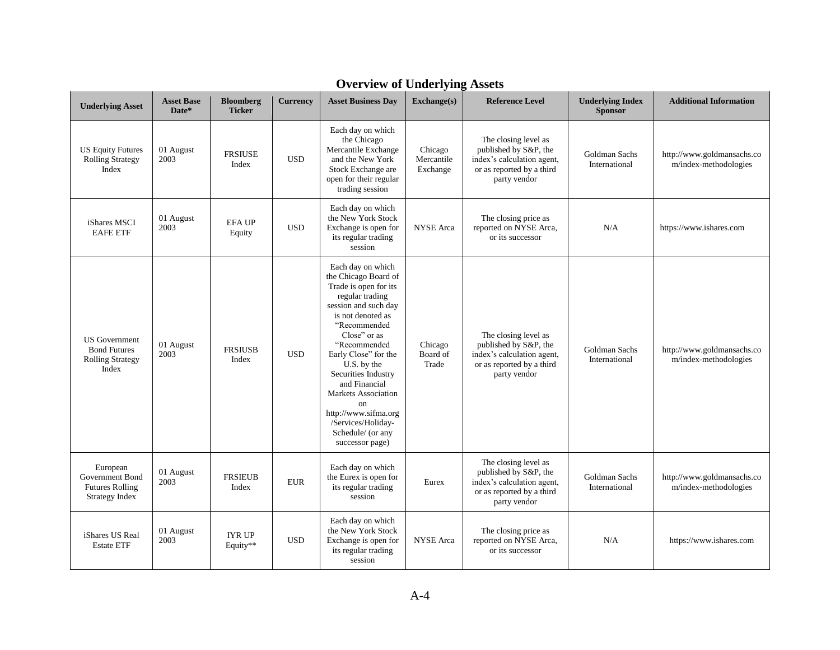| <b>Underlying Asset</b>                                                         | <b>Asset Base</b><br>Date* | <b>Bloomberg</b><br><b>Ticker</b> | <b>Currency</b> | <b>Asset Business Day</b>                                                                                                                                                                                                                                                                                                                                                                   | $\mathbf{Exchange}(s)$            | <b>Reference Level</b>                                                                                                   | <b>Underlying Index</b><br><b>Sponsor</b> | <b>Additional Information</b>                       |
|---------------------------------------------------------------------------------|----------------------------|-----------------------------------|-----------------|---------------------------------------------------------------------------------------------------------------------------------------------------------------------------------------------------------------------------------------------------------------------------------------------------------------------------------------------------------------------------------------------|-----------------------------------|--------------------------------------------------------------------------------------------------------------------------|-------------------------------------------|-----------------------------------------------------|
| <b>US Equity Futures</b><br><b>Rolling Strategy</b><br>Index                    | 01 August<br>2003          | <b>FRSIUSE</b><br>Index           | <b>USD</b>      | Each day on which<br>the Chicago<br>Mercantile Exchange<br>and the New York<br>Stock Exchange are<br>open for their regular<br>trading session                                                                                                                                                                                                                                              | Chicago<br>Mercantile<br>Exchange | The closing level as<br>published by S&P, the<br>index's calculation agent,<br>or as reported by a third<br>party vendor | Goldman Sachs<br>International            | http://www.goldmansachs.co<br>m/index-methodologies |
| iShares MSCI<br><b>EAFE ETF</b>                                                 | 01 August<br>2003          | <b>EFAUP</b><br>Equity            | <b>USD</b>      | Each day on which<br>the New York Stock<br>Exchange is open for<br>its regular trading<br>session                                                                                                                                                                                                                                                                                           | <b>NYSE</b> Arca                  | The closing price as<br>reported on NYSE Arca,<br>or its successor                                                       | N/A                                       | https://www.ishares.com                             |
| <b>US</b> Government<br><b>Bond Futures</b><br><b>Rolling Strategy</b><br>Index | 01 August<br>2003          | <b>FRSIUSB</b><br>Index           | <b>USD</b>      | Each day on which<br>the Chicago Board of<br>Trade is open for its<br>regular trading<br>session and such day<br>is not denoted as<br>"Recommended<br>Close" or as<br>"Recommended<br>Early Close" for the<br>U.S. by the<br>Securities Industry<br>and Financial<br><b>Markets Association</b><br>on<br>http://www.sifma.org<br>/Services/Holiday-<br>Schedule/ (or any<br>successor page) | Chicago<br>Board of<br>Trade      | The closing level as<br>published by S&P, the<br>index's calculation agent,<br>or as reported by a third<br>party vendor | Goldman Sachs<br>International            | http://www.goldmansachs.co<br>m/index-methodologies |
| European<br>Government Bond<br><b>Futures Rolling</b><br><b>Strategy Index</b>  | 01 August<br>2003          | <b>FRSIEUB</b><br>Index           | <b>EUR</b>      | Each day on which<br>the Eurex is open for<br>its regular trading<br>session                                                                                                                                                                                                                                                                                                                | Eurex                             | The closing level as<br>published by S&P, the<br>index's calculation agent,<br>or as reported by a third<br>party vendor | Goldman Sachs<br>International            | http://www.goldmansachs.co<br>m/index-methodologies |
| iShares US Real<br><b>Estate ETF</b>                                            | 01 August<br>2003          | <b>IYR UP</b><br>Equity**         | <b>USD</b>      | Each day on which<br>the New York Stock<br>Exchange is open for<br>its regular trading<br>session                                                                                                                                                                                                                                                                                           | <b>NYSE</b> Arca                  | The closing price as<br>reported on NYSE Arca,<br>or its successor                                                       | N/A                                       | https://www.ishares.com                             |

# **Overview of Underlying Assets**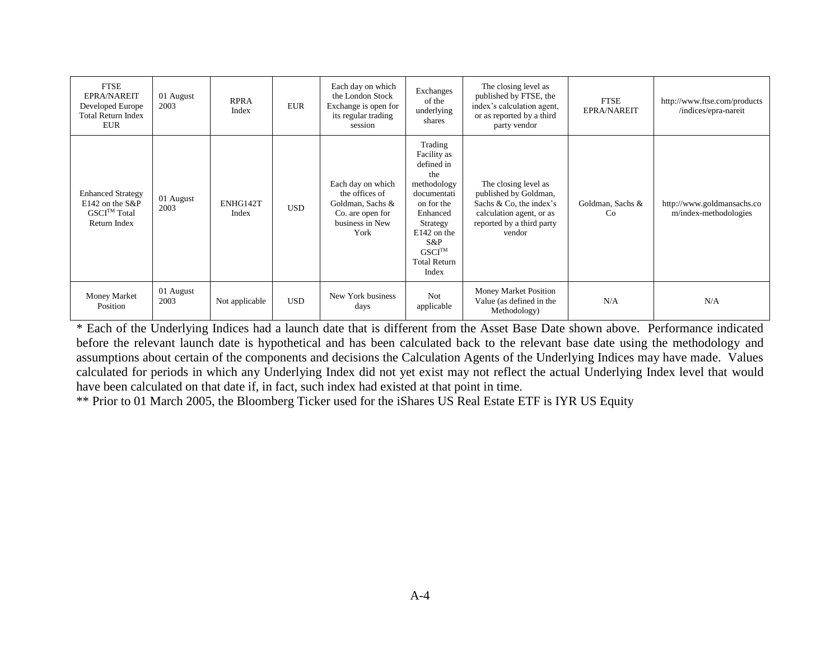| <b>FTSE</b><br><b>EPRA/NAREIT</b><br>Developed Europe<br><b>Total Return Index</b><br><b>EUR</b> | 01 August<br>2003 | <b>RPRA</b><br>Index | <b>EUR</b> | Each day on which<br>the London Stock<br>Exchange is open for<br>its regular trading<br>session        | Exchanges<br>of the<br>underlying<br>shares                                                                                                                                                   | The closing level as<br>published by FTSE, the<br>index's calculation agent,<br>or as reported by a third<br>party vendor                   | <b>FTSE</b><br><b>EPRA/NAREIT</b> | http://www.ftse.com/products<br>/indices/epra-nareit |
|--------------------------------------------------------------------------------------------------|-------------------|----------------------|------------|--------------------------------------------------------------------------------------------------------|-----------------------------------------------------------------------------------------------------------------------------------------------------------------------------------------------|---------------------------------------------------------------------------------------------------------------------------------------------|-----------------------------------|------------------------------------------------------|
| <b>Enhanced Strategy</b><br>$E142$ on the S&P<br>GSCI <sup>TM</sup> Total<br>Return Index        | 01 August<br>2003 | ENHG142T<br>Index    | <b>USD</b> | Each day on which<br>the offices of<br>Goldman, Sachs &<br>Co. are open for<br>business in New<br>York | Trading<br>Facility as<br>defined in<br>the<br>methodology<br>documentati<br>on for the<br>Enhanced<br>Strategy<br>$E142$ on the<br>S&P<br>GSCI <sup>TM</sup><br><b>Total Return</b><br>Index | The closing level as<br>published by Goldman,<br>Sachs & Co, the index's<br>calculation agent, or as<br>reported by a third party<br>vendor | Goldman, Sachs &<br>Co            | http://www.goldmansachs.co<br>m/index-methodologies  |
| Money Market<br>Position                                                                         | 01 August<br>2003 | Not applicable       | <b>USD</b> | New York business<br>days                                                                              | <b>Not</b><br>applicable                                                                                                                                                                      | Money Market Position<br>Value (as defined in the<br>Methodology)                                                                           | N/A                               | N/A                                                  |

\* Each of the Underlying Indices had a launch date that is different from the Asset Base Date shown above. Performance indicated before the relevant launch date is hypothetical and has been calculated back to the relevant base date using the methodology and assumptions about certain of the components and decisions the Calculation Agents of the Underlying Indices may have made. Values calculated for periods in which any Underlying Index did not yet exist may not reflect the actual Underlying Index level that would have been calculated on that date if, in fact, such index had existed at that point in time.

\*\* Prior to 01 March 2005, the Bloomberg Ticker used for the iShares US Real Estate ETF is IYR US Equity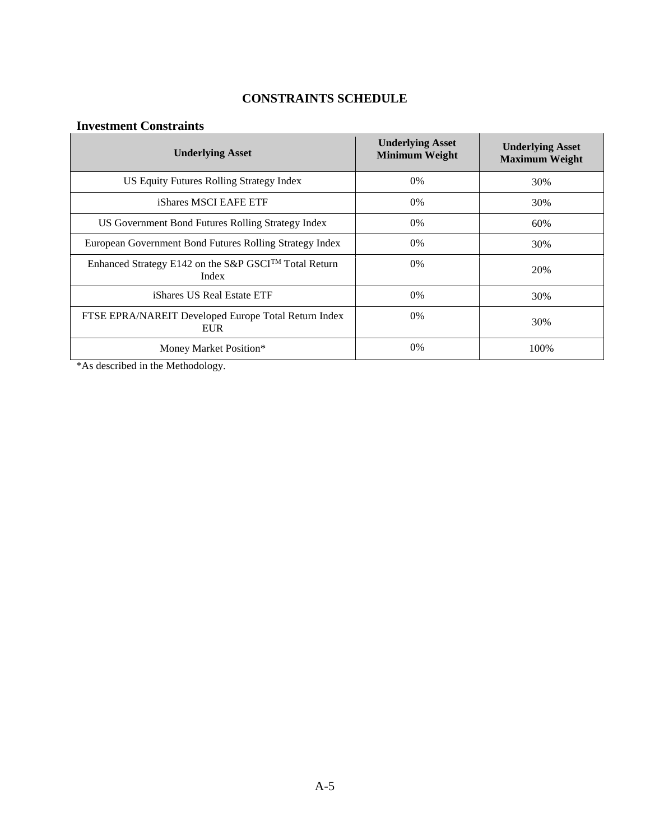## **CONSTRAINTS SCHEDULE**

## **Investment Constraints**

| <b>Underlying Asset</b>                                            | <b>Underlying Asset</b><br><b>Minimum Weight</b> | <b>Underlying Asset</b><br><b>Maximum Weight</b> |
|--------------------------------------------------------------------|--------------------------------------------------|--------------------------------------------------|
| US Equity Futures Rolling Strategy Index                           | $0\%$                                            | 30%                                              |
| iShares MSCI EAFE ETF                                              | $0\%$                                            | 30%                                              |
| US Government Bond Futures Rolling Strategy Index                  | $0\%$                                            | 60%                                              |
| European Government Bond Futures Rolling Strategy Index            | 0%                                               | 30%                                              |
| Enhanced Strategy E142 on the S&P GSCI™ Total Return<br>Index      | $0\%$                                            | 20%                                              |
| iShares US Real Estate ETF                                         | $0\%$                                            | 30%                                              |
| FTSE EPRA/NAREIT Developed Europe Total Return Index<br><b>EUR</b> | $0\%$                                            | 30%                                              |
| Money Market Position*                                             | $0\%$                                            | 100%                                             |

\*As described in the Methodology.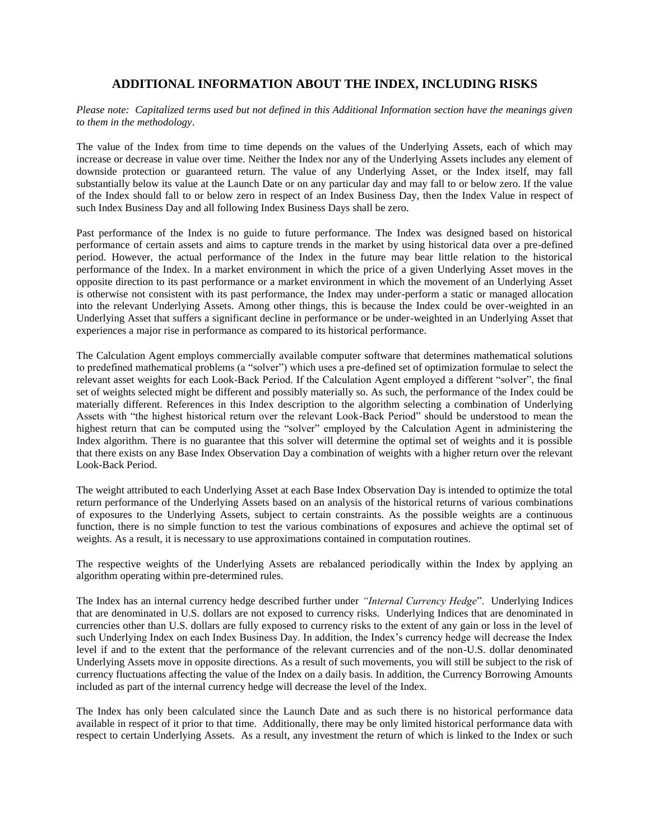#### **ADDITIONAL INFORMATION ABOUT THE INDEX, INCLUDING RISKS**

*Please note: Capitalized terms used but not defined in this Additional Information section have the meanings given to them in the methodology*.

The value of the Index from time to time depends on the values of the Underlying Assets, each of which may increase or decrease in value over time. Neither the Index nor any of the Underlying Assets includes any element of downside protection or guaranteed return. The value of any Underlying Asset, or the Index itself, may fall substantially below its value at the Launch Date or on any particular day and may fall to or below zero. If the value of the Index should fall to or below zero in respect of an Index Business Day, then the Index Value in respect of such Index Business Day and all following Index Business Days shall be zero.

Past performance of the Index is no guide to future performance. The Index was designed based on historical performance of certain assets and aims to capture trends in the market by using historical data over a pre-defined period. However, the actual performance of the Index in the future may bear little relation to the historical performance of the Index. In a market environment in which the price of a given Underlying Asset moves in the opposite direction to its past performance or a market environment in which the movement of an Underlying Asset is otherwise not consistent with its past performance, the Index may under-perform a static or managed allocation into the relevant Underlying Assets. Among other things, this is because the Index could be over-weighted in an Underlying Asset that suffers a significant decline in performance or be under-weighted in an Underlying Asset that experiences a major rise in performance as compared to its historical performance.

The Calculation Agent employs commercially available computer software that determines mathematical solutions to predefined mathematical problems (a "solver") which uses a pre-defined set of optimization formulae to select the relevant asset weights for each Look-Back Period. If the Calculation Agent employed a different "solver", the final set of weights selected might be different and possibly materially so. As such, the performance of the Index could be materially different. References in this Index description to the algorithm selecting a combination of Underlying Assets with "the highest historical return over the relevant Look-Back Period" should be understood to mean the highest return that can be computed using the "solver" employed by the Calculation Agent in administering the Index algorithm. There is no guarantee that this solver will determine the optimal set of weights and it is possible that there exists on any Base Index Observation Day a combination of weights with a higher return over the relevant Look-Back Period.

The weight attributed to each Underlying Asset at each Base Index Observation Day is intended to optimize the total return performance of the Underlying Assets based on an analysis of the historical returns of various combinations of exposures to the Underlying Assets, subject to certain constraints. As the possible weights are a continuous function, there is no simple function to test the various combinations of exposures and achieve the optimal set of weights. As a result, it is necessary to use approximations contained in computation routines.

The respective weights of the Underlying Assets are rebalanced periodically within the Index by applying an algorithm operating within pre-determined rules.

The Index has an internal currency hedge described further under *"Internal Currency Hedge*". Underlying Indices that are denominated in U.S. dollars are not exposed to currency risks. Underlying Indices that are denominated in currencies other than U.S. dollars are fully exposed to currency risks to the extent of any gain or loss in the level of such Underlying Index on each Index Business Day. In addition, the Index's currency hedge will decrease the Index level if and to the extent that the performance of the relevant currencies and of the non-U.S. dollar denominated Underlying Assets move in opposite directions. As a result of such movements, you will still be subject to the risk of currency fluctuations affecting the value of the Index on a daily basis. In addition, the Currency Borrowing Amounts included as part of the internal currency hedge will decrease the level of the Index.

The Index has only been calculated since the Launch Date and as such there is no historical performance data available in respect of it prior to that time. Additionally, there may be only limited historical performance data with respect to certain Underlying Assets. As a result, any investment the return of which is linked to the Index or such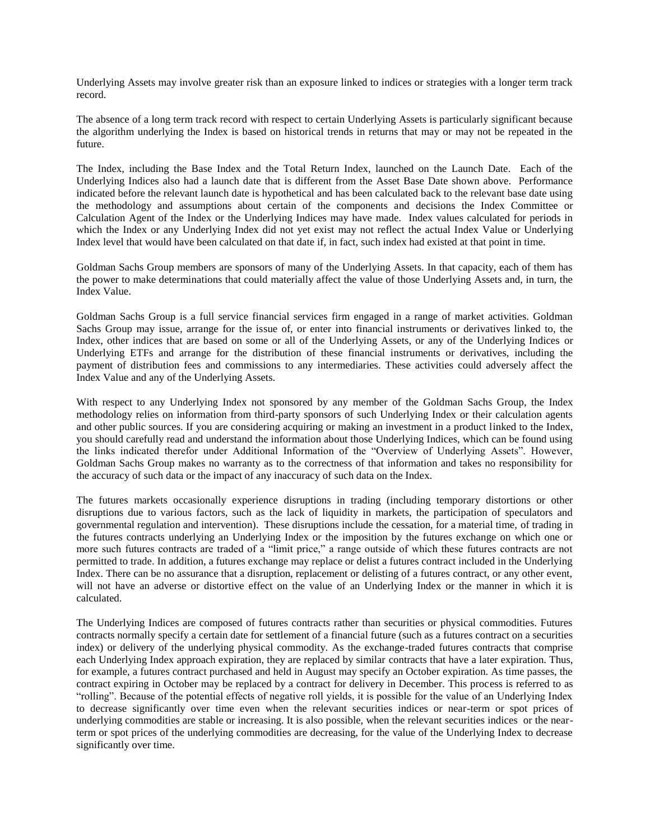Underlying Assets may involve greater risk than an exposure linked to indices or strategies with a longer term track record.

The absence of a long term track record with respect to certain Underlying Assets is particularly significant because the algorithm underlying the Index is based on historical trends in returns that may or may not be repeated in the future.

The Index, including the Base Index and the Total Return Index, launched on the Launch Date. Each of the Underlying Indices also had a launch date that is different from the Asset Base Date shown above. Performance indicated before the relevant launch date is hypothetical and has been calculated back to the relevant base date using the methodology and assumptions about certain of the components and decisions the Index Committee or Calculation Agent of the Index or the Underlying Indices may have made. Index values calculated for periods in which the Index or any Underlying Index did not yet exist may not reflect the actual Index Value or Underlying Index level that would have been calculated on that date if, in fact, such index had existed at that point in time.

Goldman Sachs Group members are sponsors of many of the Underlying Assets. In that capacity, each of them has the power to make determinations that could materially affect the value of those Underlying Assets and, in turn, the Index Value.

Goldman Sachs Group is a full service financial services firm engaged in a range of market activities. Goldman Sachs Group may issue, arrange for the issue of, or enter into financial instruments or derivatives linked to, the Index, other indices that are based on some or all of the Underlying Assets, or any of the Underlying Indices or Underlying ETFs and arrange for the distribution of these financial instruments or derivatives, including the payment of distribution fees and commissions to any intermediaries. These activities could adversely affect the Index Value and any of the Underlying Assets.

With respect to any Underlying Index not sponsored by any member of the Goldman Sachs Group, the Index methodology relies on information from third-party sponsors of such Underlying Index or their calculation agents and other public sources. If you are considering acquiring or making an investment in a product linked to the Index, you should carefully read and understand the information about those Underlying Indices, which can be found using the links indicated therefor under Additional Information of the "Overview of Underlying Assets". However, Goldman Sachs Group makes no warranty as to the correctness of that information and takes no responsibility for the accuracy of such data or the impact of any inaccuracy of such data on the Index.

The futures markets occasionally experience disruptions in trading (including temporary distortions or other disruptions due to various factors, such as the lack of liquidity in markets, the participation of speculators and governmental regulation and intervention). These disruptions include the cessation, for a material time, of trading in the futures contracts underlying an Underlying Index or the imposition by the futures exchange on which one or more such futures contracts are traded of a "limit price," a range outside of which these futures contracts are not permitted to trade. In addition, a futures exchange may replace or delist a futures contract included in the Underlying Index. There can be no assurance that a disruption, replacement or delisting of a futures contract, or any other event, will not have an adverse or distortive effect on the value of an Underlying Index or the manner in which it is calculated.

The Underlying Indices are composed of futures contracts rather than securities or physical commodities. Futures contracts normally specify a certain date for settlement of a financial future (such as a futures contract on a securities index) or delivery of the underlying physical commodity. As the exchange-traded futures contracts that comprise each Underlying Index approach expiration, they are replaced by similar contracts that have a later expiration. Thus, for example, a futures contract purchased and held in August may specify an October expiration. As time passes, the contract expiring in October may be replaced by a contract for delivery in December. This process is referred to as "rolling". Because of the potential effects of negative roll yields, it is possible for the value of an Underlying Index to decrease significantly over time even when the relevant securities indices or near-term or spot prices of underlying commodities are stable or increasing. It is also possible, when the relevant securities indices or the nearterm or spot prices of the underlying commodities are decreasing, for the value of the Underlying Index to decrease significantly over time.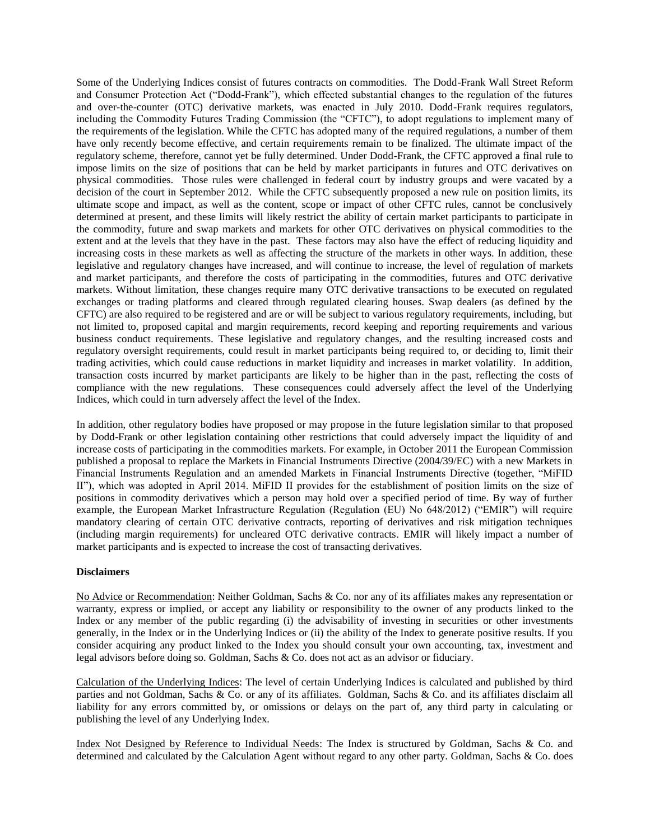Some of the Underlying Indices consist of futures contracts on commodities. The Dodd-Frank Wall Street Reform and Consumer Protection Act ("Dodd-Frank"), which effected substantial changes to the regulation of the futures and over-the-counter (OTC) derivative markets, was enacted in July 2010. Dodd-Frank requires regulators, including the Commodity Futures Trading Commission (the "CFTC"), to adopt regulations to implement many of the requirements of the legislation. While the CFTC has adopted many of the required regulations, a number of them have only recently become effective, and certain requirements remain to be finalized. The ultimate impact of the regulatory scheme, therefore, cannot yet be fully determined. Under Dodd-Frank, the CFTC approved a final rule to impose limits on the size of positions that can be held by market participants in futures and OTC derivatives on physical commodities. Those rules were challenged in federal court by industry groups and were vacated by a decision of the court in September 2012. While the CFTC subsequently proposed a new rule on position limits, its ultimate scope and impact, as well as the content, scope or impact of other CFTC rules, cannot be conclusively determined at present, and these limits will likely restrict the ability of certain market participants to participate in the commodity, future and swap markets and markets for other OTC derivatives on physical commodities to the extent and at the levels that they have in the past. These factors may also have the effect of reducing liquidity and increasing costs in these markets as well as affecting the structure of the markets in other ways. In addition, these legislative and regulatory changes have increased, and will continue to increase, the level of regulation of markets and market participants, and therefore the costs of participating in the commodities, futures and OTC derivative markets. Without limitation, these changes require many OTC derivative transactions to be executed on regulated exchanges or trading platforms and cleared through regulated clearing houses. Swap dealers (as defined by the CFTC) are also required to be registered and are or will be subject to various regulatory requirements, including, but not limited to, proposed capital and margin requirements, record keeping and reporting requirements and various business conduct requirements. These legislative and regulatory changes, and the resulting increased costs and regulatory oversight requirements, could result in market participants being required to, or deciding to, limit their trading activities, which could cause reductions in market liquidity and increases in market volatility. In addition, transaction costs incurred by market participants are likely to be higher than in the past, reflecting the costs of compliance with the new regulations. These consequences could adversely affect the level of the Underlying Indices, which could in turn adversely affect the level of the Index.

In addition, other regulatory bodies have proposed or may propose in the future legislation similar to that proposed by Dodd-Frank or other legislation containing other restrictions that could adversely impact the liquidity of and increase costs of participating in the commodities markets. For example, in October 2011 the European Commission published a proposal to replace the Markets in Financial Instruments Directive (2004/39/EC) with a new Markets in Financial Instruments Regulation and an amended Markets in Financial Instruments Directive (together, "MiFID II"), which was adopted in April 2014. MiFID II provides for the establishment of position limits on the size of positions in commodity derivatives which a person may hold over a specified period of time. By way of further example, the European Market Infrastructure Regulation (Regulation (EU) No 648/2012) ("EMIR") will require mandatory clearing of certain OTC derivative contracts, reporting of derivatives and risk mitigation techniques (including margin requirements) for uncleared OTC derivative contracts. EMIR will likely impact a number of market participants and is expected to increase the cost of transacting derivatives.

#### **Disclaimers**

No Advice or Recommendation: Neither Goldman, Sachs & Co. nor any of its affiliates makes any representation or warranty, express or implied, or accept any liability or responsibility to the owner of any products linked to the Index or any member of the public regarding (i) the advisability of investing in securities or other investments generally, in the Index or in the Underlying Indices or (ii) the ability of the Index to generate positive results. If you consider acquiring any product linked to the Index you should consult your own accounting, tax, investment and legal advisors before doing so. Goldman, Sachs & Co. does not act as an advisor or fiduciary.

Calculation of the Underlying Indices: The level of certain Underlying Indices is calculated and published by third parties and not Goldman, Sachs & Co. or any of its affiliates. Goldman, Sachs & Co. and its affiliates disclaim all liability for any errors committed by, or omissions or delays on the part of, any third party in calculating or publishing the level of any Underlying Index.

Index Not Designed by Reference to Individual Needs: The Index is structured by Goldman, Sachs & Co. and determined and calculated by the Calculation Agent without regard to any other party. Goldman, Sachs & Co. does